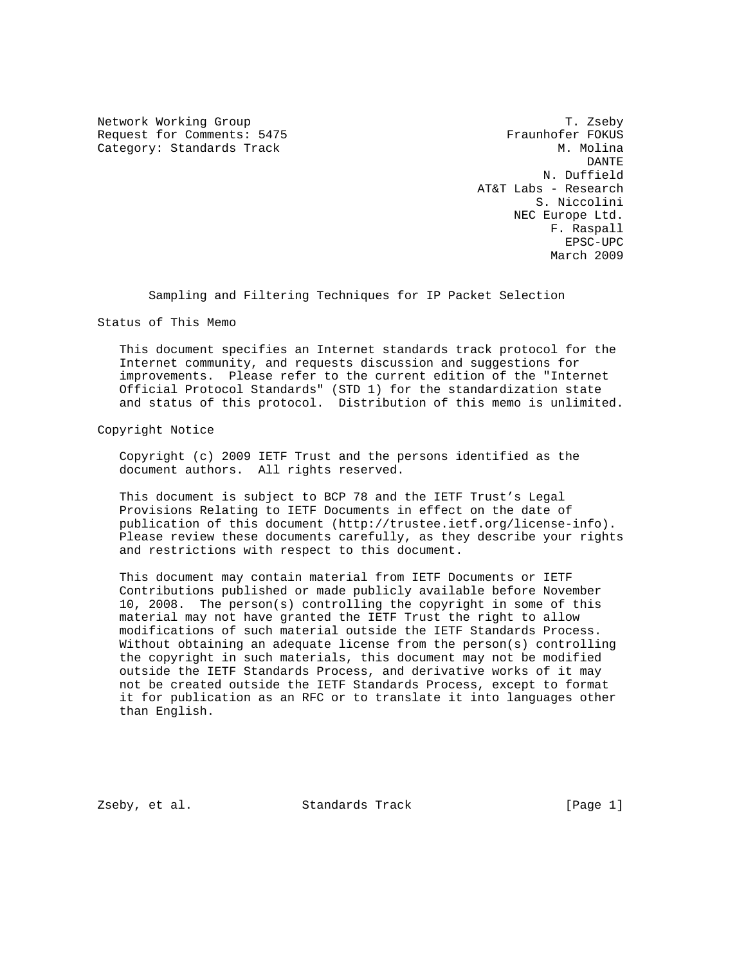Network Working Group T. Zseby Request for Comments: 5475 Fraunhofer FOKUS Category: Standards Track M. Molina

 DANTE N. Duffield AT&T Labs - Research S. Niccolini NEC Europe Ltd. F. Raspall EPSC-UPC March 2009

Sampling and Filtering Techniques for IP Packet Selection

Status of This Memo

 This document specifies an Internet standards track protocol for the Internet community, and requests discussion and suggestions for improvements. Please refer to the current edition of the "Internet Official Protocol Standards" (STD 1) for the standardization state and status of this protocol. Distribution of this memo is unlimited.

Copyright Notice

 Copyright (c) 2009 IETF Trust and the persons identified as the document authors. All rights reserved.

 This document is subject to BCP 78 and the IETF Trust's Legal Provisions Relating to IETF Documents in effect on the date of publication of this document (http://trustee.ietf.org/license-info). Please review these documents carefully, as they describe your rights and restrictions with respect to this document.

 This document may contain material from IETF Documents or IETF Contributions published or made publicly available before November 10, 2008. The person(s) controlling the copyright in some of this material may not have granted the IETF Trust the right to allow modifications of such material outside the IETF Standards Process. Without obtaining an adequate license from the person(s) controlling the copyright in such materials, this document may not be modified outside the IETF Standards Process, and derivative works of it may not be created outside the IETF Standards Process, except to format it for publication as an RFC or to translate it into languages other than English.

Zseby, et al. Standards Track [Page 1]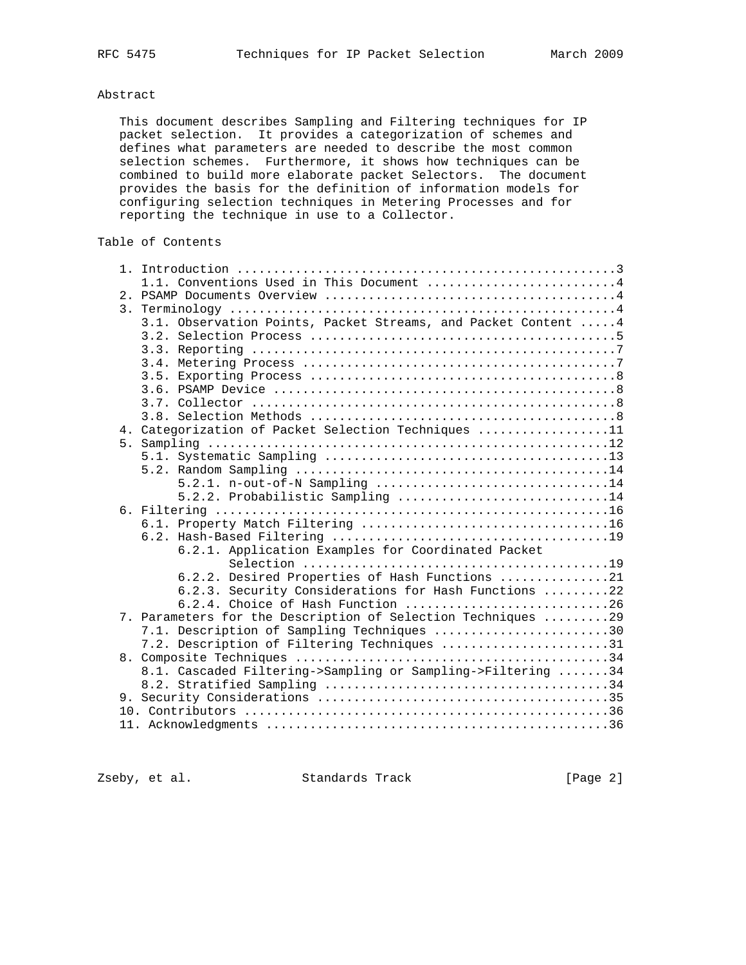# Abstract

 This document describes Sampling and Filtering techniques for IP packet selection. It provides a categorization of schemes and defines what parameters are needed to describe the most common selection schemes. Furthermore, it shows how techniques can be combined to build more elaborate packet Selectors. The document provides the basis for the definition of information models for configuring selection techniques in Metering Processes and for reporting the technique in use to a Collector.

# Table of Contents

|  | 1.1. Conventions Used in This Document 4                       |
|--|----------------------------------------------------------------|
|  |                                                                |
|  |                                                                |
|  | 3.1. Observation Points, Packet Streams, and Packet Content  4 |
|  |                                                                |
|  |                                                                |
|  |                                                                |
|  |                                                                |
|  |                                                                |
|  |                                                                |
|  |                                                                |
|  | 4. Categorization of Packet Selection Techniques 11            |
|  |                                                                |
|  |                                                                |
|  |                                                                |
|  | 5.2.1. n-out-of-N Sampling 14                                  |
|  | 5.2.2. Probabilistic Sampling 14                               |
|  |                                                                |
|  |                                                                |
|  |                                                                |
|  | 6.2.1. Application Examples for Coordinated Packet             |
|  |                                                                |
|  | 6.2.2. Desired Properties of Hash Functions 21                 |
|  | 6.2.3. Security Considerations for Hash Functions 22           |
|  |                                                                |
|  | 7. Parameters for the Description of Selection Techniques 29   |
|  | 7.1. Description of Sampling Techniques 30                     |
|  | 7.2. Description of Filtering Techniques 31                    |
|  |                                                                |
|  | 8.1. Cascaded Filtering->Sampling or Sampling->Filtering 34    |
|  |                                                                |
|  |                                                                |
|  |                                                                |
|  |                                                                |
|  |                                                                |

Zseby, et al. Standards Track [Page 2]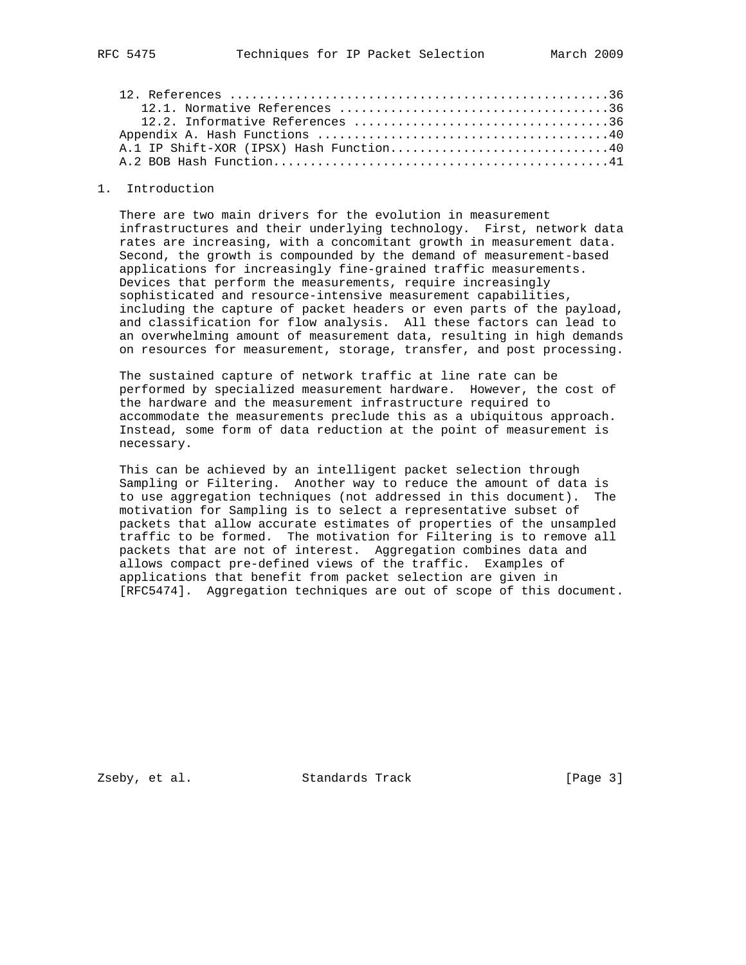#### 1. Introduction

 There are two main drivers for the evolution in measurement infrastructures and their underlying technology. First, network data rates are increasing, with a concomitant growth in measurement data. Second, the growth is compounded by the demand of measurement-based applications for increasingly fine-grained traffic measurements. Devices that perform the measurements, require increasingly sophisticated and resource-intensive measurement capabilities, including the capture of packet headers or even parts of the payload, and classification for flow analysis. All these factors can lead to an overwhelming amount of measurement data, resulting in high demands on resources for measurement, storage, transfer, and post processing.

 The sustained capture of network traffic at line rate can be performed by specialized measurement hardware. However, the cost of the hardware and the measurement infrastructure required to accommodate the measurements preclude this as a ubiquitous approach. Instead, some form of data reduction at the point of measurement is necessary.

 This can be achieved by an intelligent packet selection through Sampling or Filtering. Another way to reduce the amount of data is to use aggregation techniques (not addressed in this document). The motivation for Sampling is to select a representative subset of packets that allow accurate estimates of properties of the unsampled traffic to be formed. The motivation for Filtering is to remove all packets that are not of interest. Aggregation combines data and allows compact pre-defined views of the traffic. Examples of applications that benefit from packet selection are given in [RFC5474]. Aggregation techniques are out of scope of this document.

Zseby, et al. Standards Track [Page 3]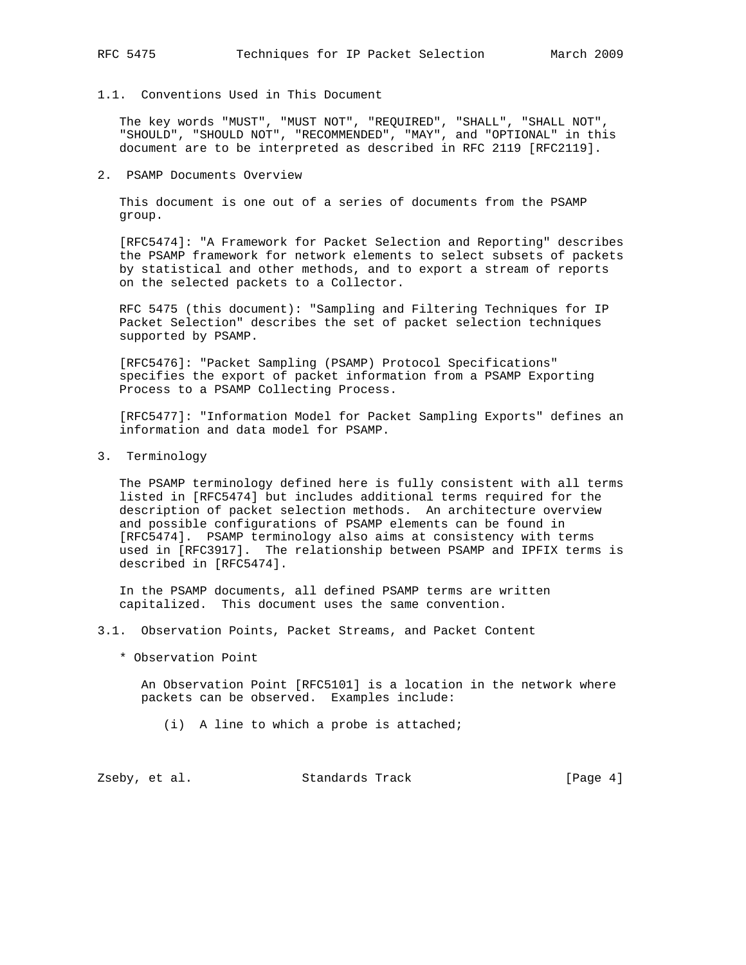## 1.1. Conventions Used in This Document

 The key words "MUST", "MUST NOT", "REQUIRED", "SHALL", "SHALL NOT", "SHOULD", "SHOULD NOT", "RECOMMENDED", "MAY", and "OPTIONAL" in this document are to be interpreted as described in RFC 2119 [RFC2119].

#### 2. PSAMP Documents Overview

 This document is one out of a series of documents from the PSAMP group.

 [RFC5474]: "A Framework for Packet Selection and Reporting" describes the PSAMP framework for network elements to select subsets of packets by statistical and other methods, and to export a stream of reports on the selected packets to a Collector.

 RFC 5475 (this document): "Sampling and Filtering Techniques for IP Packet Selection" describes the set of packet selection techniques supported by PSAMP.

 [RFC5476]: "Packet Sampling (PSAMP) Protocol Specifications" specifies the export of packet information from a PSAMP Exporting Process to a PSAMP Collecting Process.

 [RFC5477]: "Information Model for Packet Sampling Exports" defines an information and data model for PSAMP.

3. Terminology

 The PSAMP terminology defined here is fully consistent with all terms listed in [RFC5474] but includes additional terms required for the description of packet selection methods. An architecture overview and possible configurations of PSAMP elements can be found in [RFC5474]. PSAMP terminology also aims at consistency with terms used in [RFC3917]. The relationship between PSAMP and IPFIX terms is described in [RFC5474].

 In the PSAMP documents, all defined PSAMP terms are written capitalized. This document uses the same convention.

- 3.1. Observation Points, Packet Streams, and Packet Content
	- \* Observation Point

 An Observation Point [RFC5101] is a location in the network where packets can be observed. Examples include:

(i) A line to which a probe is attached;

Zseby, et al. Standards Track [Page 4]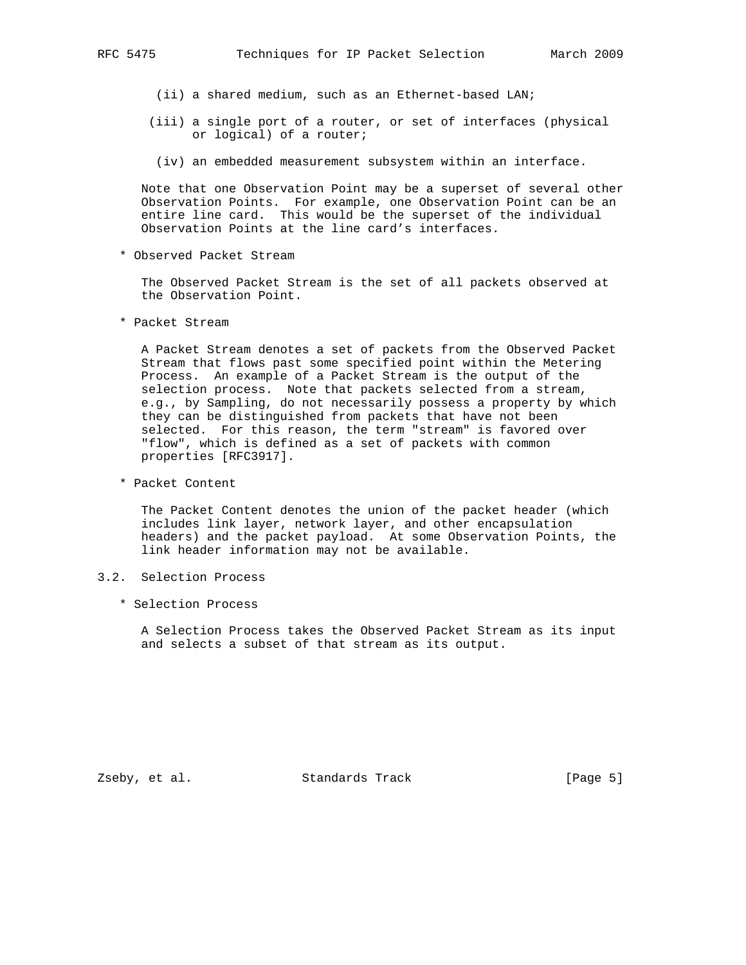- (ii) a shared medium, such as an Ethernet-based LAN;
- (iii) a single port of a router, or set of interfaces (physical or logical) of a router;
	- (iv) an embedded measurement subsystem within an interface.

 Note that one Observation Point may be a superset of several other Observation Points. For example, one Observation Point can be an entire line card. This would be the superset of the individual Observation Points at the line card's interfaces.

\* Observed Packet Stream

 The Observed Packet Stream is the set of all packets observed at the Observation Point.

\* Packet Stream

 A Packet Stream denotes a set of packets from the Observed Packet Stream that flows past some specified point within the Metering Process. An example of a Packet Stream is the output of the selection process. Note that packets selected from a stream, e.g., by Sampling, do not necessarily possess a property by which they can be distinguished from packets that have not been selected. For this reason, the term "stream" is favored over "flow", which is defined as a set of packets with common properties [RFC3917].

\* Packet Content

 The Packet Content denotes the union of the packet header (which includes link layer, network layer, and other encapsulation headers) and the packet payload. At some Observation Points, the link header information may not be available.

- 3.2. Selection Process
	- \* Selection Process

 A Selection Process takes the Observed Packet Stream as its input and selects a subset of that stream as its output.

Zseby, et al. Standards Track [Page 5]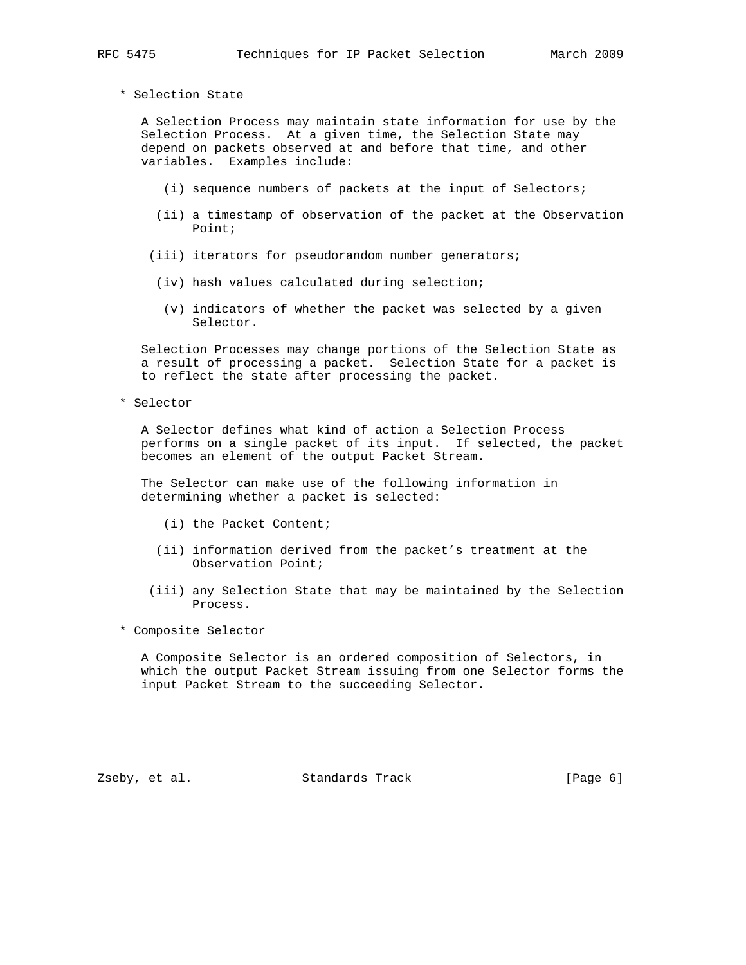A Selection Process may maintain state information for use by the Selection Process. At a given time, the Selection State may depend on packets observed at and before that time, and other variables. Examples include:

- (i) sequence numbers of packets at the input of Selectors;
- (ii) a timestamp of observation of the packet at the Observation Point;
- (iii) iterators for pseudorandom number generators;
- (iv) hash values calculated during selection;
- (v) indicators of whether the packet was selected by a given Selector.

 Selection Processes may change portions of the Selection State as a result of processing a packet. Selection State for a packet is to reflect the state after processing the packet.

\* Selector

 A Selector defines what kind of action a Selection Process performs on a single packet of its input. If selected, the packet becomes an element of the output Packet Stream.

 The Selector can make use of the following information in determining whether a packet is selected:

- (i) the Packet Content;
- (ii) information derived from the packet's treatment at the Observation Point;
- (iii) any Selection State that may be maintained by the Selection Process.
- \* Composite Selector

 A Composite Selector is an ordered composition of Selectors, in which the output Packet Stream issuing from one Selector forms the input Packet Stream to the succeeding Selector.

Zseby, et al. Standards Track [Page 6]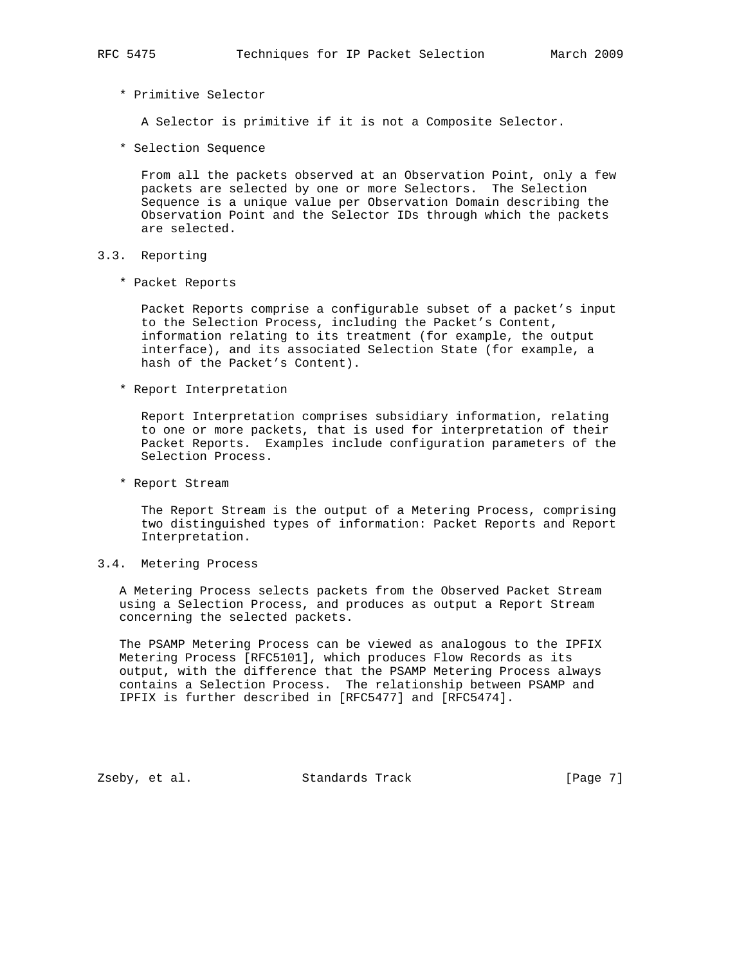## \* Primitive Selector

A Selector is primitive if it is not a Composite Selector.

\* Selection Sequence

 From all the packets observed at an Observation Point, only a few packets are selected by one or more Selectors. The Selection Sequence is a unique value per Observation Domain describing the Observation Point and the Selector IDs through which the packets are selected.

## 3.3. Reporting

\* Packet Reports

 Packet Reports comprise a configurable subset of a packet's input to the Selection Process, including the Packet's Content, information relating to its treatment (for example, the output interface), and its associated Selection State (for example, a hash of the Packet's Content).

\* Report Interpretation

 Report Interpretation comprises subsidiary information, relating to one or more packets, that is used for interpretation of their Packet Reports. Examples include configuration parameters of the Selection Process.

\* Report Stream

 The Report Stream is the output of a Metering Process, comprising two distinguished types of information: Packet Reports and Report Interpretation.

#### 3.4. Metering Process

 A Metering Process selects packets from the Observed Packet Stream using a Selection Process, and produces as output a Report Stream concerning the selected packets.

 The PSAMP Metering Process can be viewed as analogous to the IPFIX Metering Process [RFC5101], which produces Flow Records as its output, with the difference that the PSAMP Metering Process always contains a Selection Process. The relationship between PSAMP and IPFIX is further described in [RFC5477] and [RFC5474].

Zseby, et al. Standards Track [Page 7]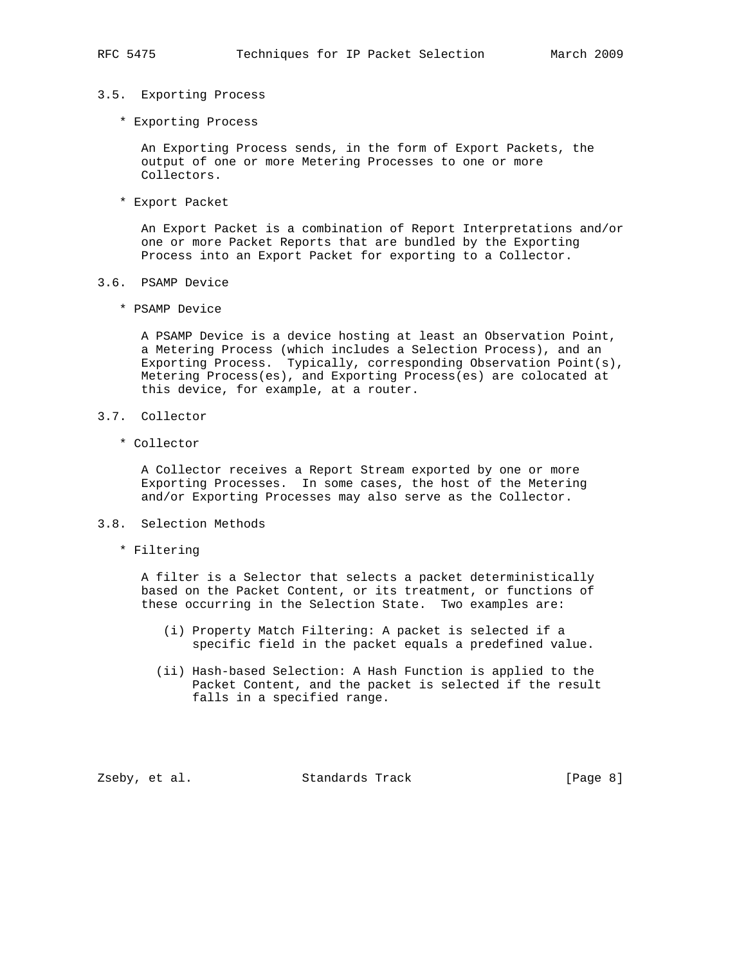## 3.5. Exporting Process

\* Exporting Process

 An Exporting Process sends, in the form of Export Packets, the output of one or more Metering Processes to one or more Collectors.

\* Export Packet

 An Export Packet is a combination of Report Interpretations and/or one or more Packet Reports that are bundled by the Exporting Process into an Export Packet for exporting to a Collector.

- 3.6. PSAMP Device
	- \* PSAMP Device

 A PSAMP Device is a device hosting at least an Observation Point, a Metering Process (which includes a Selection Process), and an Exporting Process. Typically, corresponding Observation Point(s), Metering Process(es), and Exporting Process(es) are colocated at this device, for example, at a router.

- 3.7. Collector
	- \* Collector

 A Collector receives a Report Stream exported by one or more Exporting Processes. In some cases, the host of the Metering and/or Exporting Processes may also serve as the Collector.

- 3.8. Selection Methods
	- \* Filtering

 A filter is a Selector that selects a packet deterministically based on the Packet Content, or its treatment, or functions of these occurring in the Selection State. Two examples are:

- (i) Property Match Filtering: A packet is selected if a specific field in the packet equals a predefined value.
- (ii) Hash-based Selection: A Hash Function is applied to the Packet Content, and the packet is selected if the result falls in a specified range.

Zseby, et al. Standards Track [Page 8]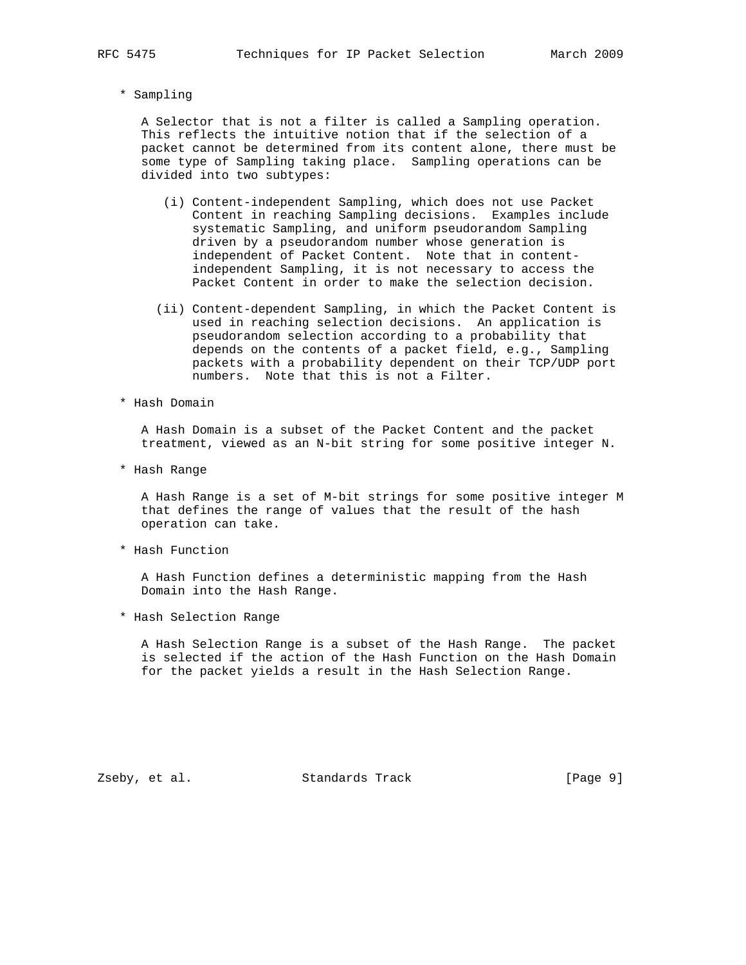\* Sampling

 A Selector that is not a filter is called a Sampling operation. This reflects the intuitive notion that if the selection of a packet cannot be determined from its content alone, there must be some type of Sampling taking place. Sampling operations can be divided into two subtypes:

- (i) Content-independent Sampling, which does not use Packet Content in reaching Sampling decisions. Examples include systematic Sampling, and uniform pseudorandom Sampling driven by a pseudorandom number whose generation is independent of Packet Content. Note that in content independent Sampling, it is not necessary to access the Packet Content in order to make the selection decision.
- (ii) Content-dependent Sampling, in which the Packet Content is used in reaching selection decisions. An application is pseudorandom selection according to a probability that depends on the contents of a packet field, e.g., Sampling packets with a probability dependent on their TCP/UDP port numbers. Note that this is not a Filter.
- \* Hash Domain

 A Hash Domain is a subset of the Packet Content and the packet treatment, viewed as an N-bit string for some positive integer N.

\* Hash Range

 A Hash Range is a set of M-bit strings for some positive integer M that defines the range of values that the result of the hash operation can take.

\* Hash Function

 A Hash Function defines a deterministic mapping from the Hash Domain into the Hash Range.

\* Hash Selection Range

 A Hash Selection Range is a subset of the Hash Range. The packet is selected if the action of the Hash Function on the Hash Domain for the packet yields a result in the Hash Selection Range.

Zseby, et al. Standards Track [Page 9]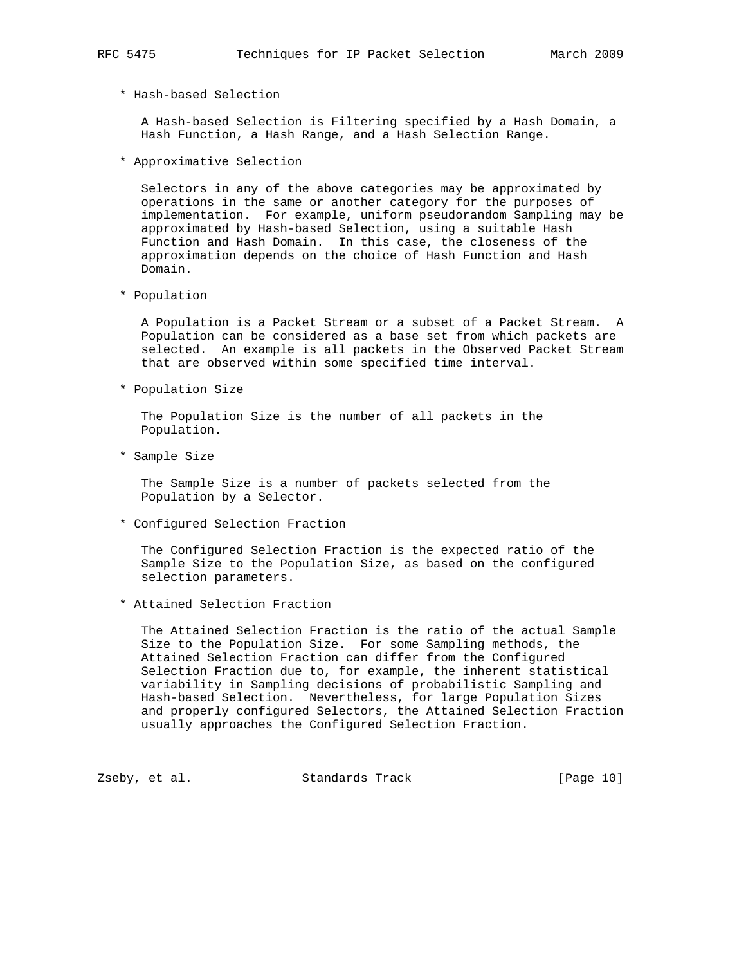\* Hash-based Selection

 A Hash-based Selection is Filtering specified by a Hash Domain, a Hash Function, a Hash Range, and a Hash Selection Range.

\* Approximative Selection

 Selectors in any of the above categories may be approximated by operations in the same or another category for the purposes of implementation. For example, uniform pseudorandom Sampling may be approximated by Hash-based Selection, using a suitable Hash Function and Hash Domain. In this case, the closeness of the approximation depends on the choice of Hash Function and Hash Domain.

\* Population

 A Population is a Packet Stream or a subset of a Packet Stream. A Population can be considered as a base set from which packets are selected. An example is all packets in the Observed Packet Stream that are observed within some specified time interval.

\* Population Size

 The Population Size is the number of all packets in the Population.

\* Sample Size

 The Sample Size is a number of packets selected from the Population by a Selector.

\* Configured Selection Fraction

 The Configured Selection Fraction is the expected ratio of the Sample Size to the Population Size, as based on the configured selection parameters.

\* Attained Selection Fraction

 The Attained Selection Fraction is the ratio of the actual Sample Size to the Population Size. For some Sampling methods, the Attained Selection Fraction can differ from the Configured Selection Fraction due to, for example, the inherent statistical variability in Sampling decisions of probabilistic Sampling and Hash-based Selection. Nevertheless, for large Population Sizes and properly configured Selectors, the Attained Selection Fraction usually approaches the Configured Selection Fraction.

Zseby, et al. Standards Track [Page 10]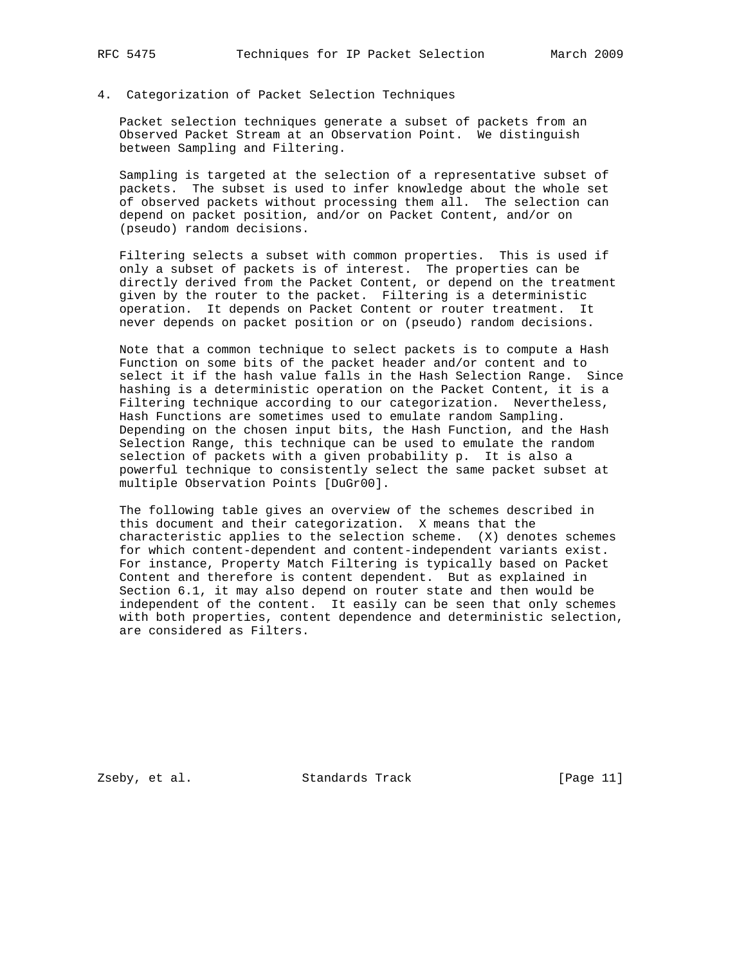## 4. Categorization of Packet Selection Techniques

 Packet selection techniques generate a subset of packets from an Observed Packet Stream at an Observation Point. We distinguish between Sampling and Filtering.

 Sampling is targeted at the selection of a representative subset of packets. The subset is used to infer knowledge about the whole set of observed packets without processing them all. The selection can depend on packet position, and/or on Packet Content, and/or on (pseudo) random decisions.

 Filtering selects a subset with common properties. This is used if only a subset of packets is of interest. The properties can be directly derived from the Packet Content, or depend on the treatment given by the router to the packet. Filtering is a deterministic operation. It depends on Packet Content or router treatment. It never depends on packet position or on (pseudo) random decisions.

 Note that a common technique to select packets is to compute a Hash Function on some bits of the packet header and/or content and to select it if the hash value falls in the Hash Selection Range. Since hashing is a deterministic operation on the Packet Content, it is a Filtering technique according to our categorization. Nevertheless, Hash Functions are sometimes used to emulate random Sampling. Depending on the chosen input bits, the Hash Function, and the Hash Selection Range, this technique can be used to emulate the random selection of packets with a given probability p. It is also a powerful technique to consistently select the same packet subset at multiple Observation Points [DuGr00].

 The following table gives an overview of the schemes described in this document and their categorization. X means that the characteristic applies to the selection scheme. (X) denotes schemes for which content-dependent and content-independent variants exist. For instance, Property Match Filtering is typically based on Packet Content and therefore is content dependent. But as explained in Section 6.1, it may also depend on router state and then would be independent of the content. It easily can be seen that only schemes with both properties, content dependence and deterministic selection, are considered as Filters.

Zseby, et al. Standards Track [Page 11]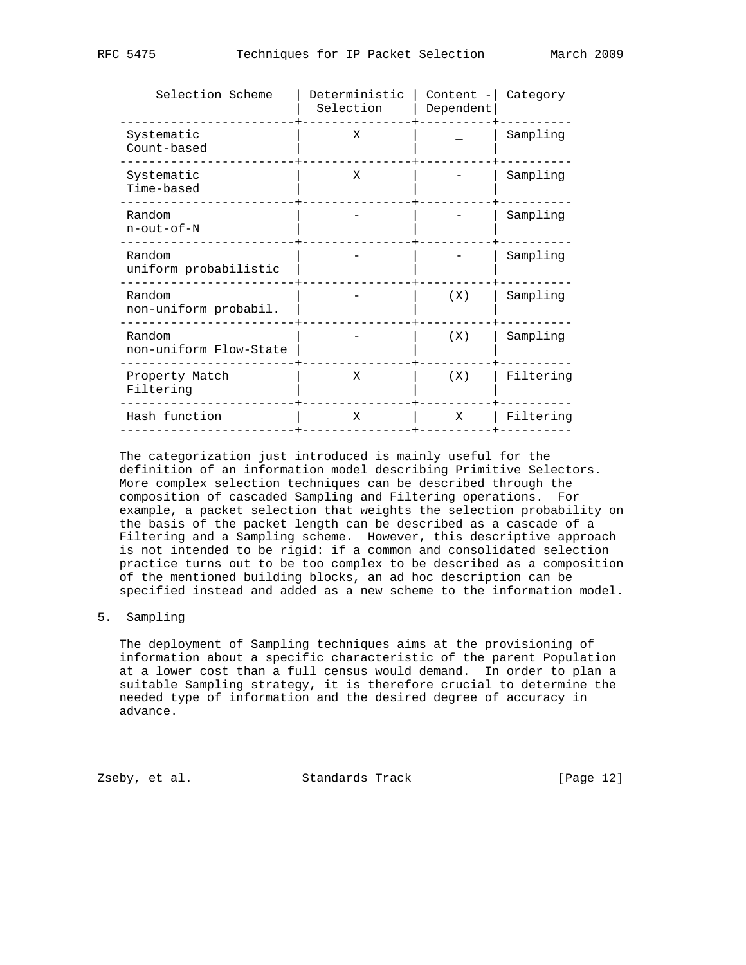| Selection Scheme                   | Deterministic<br>Selection | Content -<br>Dependent | Category  |
|------------------------------------|----------------------------|------------------------|-----------|
| Systematic<br>Count-based          | Χ                          |                        | Sampling  |
| Systematic<br>Time-based           | X                          |                        | Sampling  |
| Random<br>$n$ - $out$ - $of$ - $N$ |                            |                        | Sampling  |
| Random<br>uniform probabilistic    |                            |                        | Sampling  |
| Random<br>non-uniform probabil.    |                            | (X)                    | Sampling  |
| Random<br>non-uniform Flow-State   |                            | (X)                    | Sampling  |
| Property Match<br>Filtering        | X                          | (X)                    | Filtering |
| Hash function                      | X                          | X                      | Filtering |
|                                    |                            |                        |           |

 The categorization just introduced is mainly useful for the definition of an information model describing Primitive Selectors. More complex selection techniques can be described through the composition of cascaded Sampling and Filtering operations. For example, a packet selection that weights the selection probability on the basis of the packet length can be described as a cascade of a Filtering and a Sampling scheme. However, this descriptive approach is not intended to be rigid: if a common and consolidated selection practice turns out to be too complex to be described as a composition of the mentioned building blocks, an ad hoc description can be specified instead and added as a new scheme to the information model.

## 5. Sampling

 The deployment of Sampling techniques aims at the provisioning of information about a specific characteristic of the parent Population at a lower cost than a full census would demand. In order to plan a suitable Sampling strategy, it is therefore crucial to determine the needed type of information and the desired degree of accuracy in advance.

Zseby, et al. Standards Track [Page 12]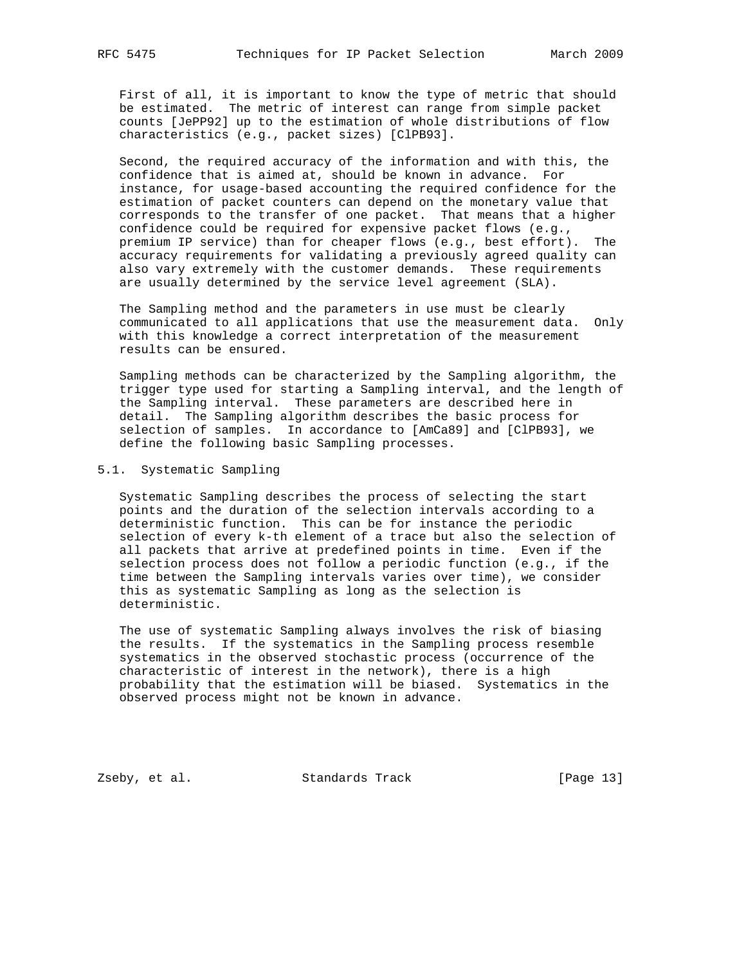First of all, it is important to know the type of metric that should be estimated. The metric of interest can range from simple packet counts [JePP92] up to the estimation of whole distributions of flow characteristics (e.g., packet sizes) [ClPB93].

 Second, the required accuracy of the information and with this, the confidence that is aimed at, should be known in advance. For instance, for usage-based accounting the required confidence for the estimation of packet counters can depend on the monetary value that corresponds to the transfer of one packet. That means that a higher confidence could be required for expensive packet flows (e.g., premium IP service) than for cheaper flows (e.g., best effort). The accuracy requirements for validating a previously agreed quality can also vary extremely with the customer demands. These requirements are usually determined by the service level agreement (SLA).

 The Sampling method and the parameters in use must be clearly communicated to all applications that use the measurement data. Only with this knowledge a correct interpretation of the measurement results can be ensured.

 Sampling methods can be characterized by the Sampling algorithm, the trigger type used for starting a Sampling interval, and the length of the Sampling interval. These parameters are described here in detail. The Sampling algorithm describes the basic process for selection of samples. In accordance to [AmCa89] and [ClPB93], we define the following basic Sampling processes.

### 5.1. Systematic Sampling

 Systematic Sampling describes the process of selecting the start points and the duration of the selection intervals according to a deterministic function. This can be for instance the periodic selection of every k-th element of a trace but also the selection of all packets that arrive at predefined points in time. Even if the selection process does not follow a periodic function (e.g., if the time between the Sampling intervals varies over time), we consider this as systematic Sampling as long as the selection is deterministic.

 The use of systematic Sampling always involves the risk of biasing the results. If the systematics in the Sampling process resemble systematics in the observed stochastic process (occurrence of the characteristic of interest in the network), there is a high probability that the estimation will be biased. Systematics in the observed process might not be known in advance.

Zseby, et al. Standards Track [Page 13]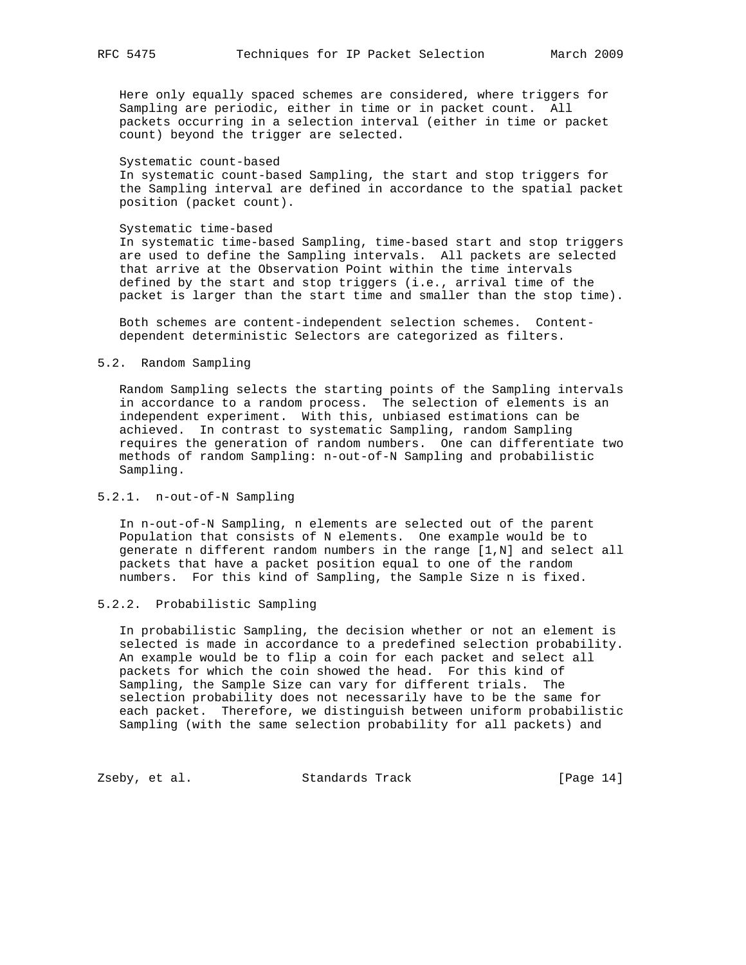Here only equally spaced schemes are considered, where triggers for Sampling are periodic, either in time or in packet count. All packets occurring in a selection interval (either in time or packet count) beyond the trigger are selected.

#### Systematic count-based

 In systematic count-based Sampling, the start and stop triggers for the Sampling interval are defined in accordance to the spatial packet position (packet count).

#### Systematic time-based

 In systematic time-based Sampling, time-based start and stop triggers are used to define the Sampling intervals. All packets are selected that arrive at the Observation Point within the time intervals defined by the start and stop triggers (i.e., arrival time of the packet is larger than the start time and smaller than the stop time).

 Both schemes are content-independent selection schemes. Content dependent deterministic Selectors are categorized as filters.

## 5.2. Random Sampling

 Random Sampling selects the starting points of the Sampling intervals in accordance to a random process. The selection of elements is an independent experiment. With this, unbiased estimations can be achieved. In contrast to systematic Sampling, random Sampling requires the generation of random numbers. One can differentiate two methods of random Sampling: n-out-of-N Sampling and probabilistic Sampling.

## 5.2.1. n-out-of-N Sampling

 In n-out-of-N Sampling, n elements are selected out of the parent Population that consists of N elements. One example would be to generate n different random numbers in the range [1,N] and select all packets that have a packet position equal to one of the random numbers. For this kind of Sampling, the Sample Size n is fixed.

## 5.2.2. Probabilistic Sampling

 In probabilistic Sampling, the decision whether or not an element is selected is made in accordance to a predefined selection probability. An example would be to flip a coin for each packet and select all packets for which the coin showed the head. For this kind of Sampling, the Sample Size can vary for different trials. The selection probability does not necessarily have to be the same for each packet. Therefore, we distinguish between uniform probabilistic Sampling (with the same selection probability for all packets) and

Zseby, et al. Standards Track [Page 14]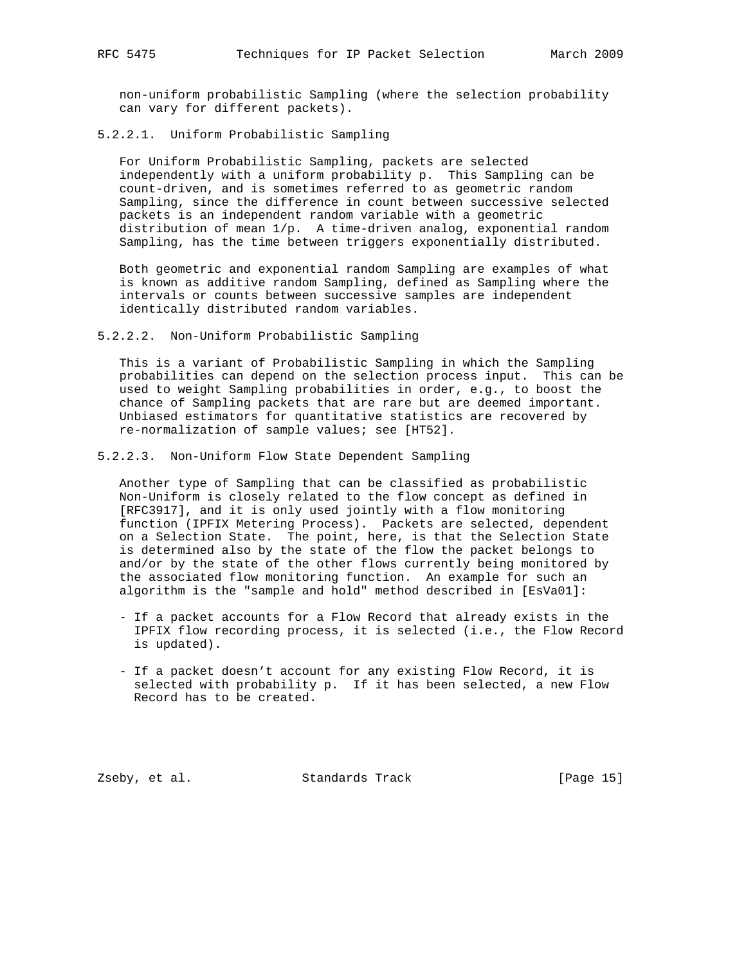non-uniform probabilistic Sampling (where the selection probability can vary for different packets).

5.2.2.1. Uniform Probabilistic Sampling

 For Uniform Probabilistic Sampling, packets are selected independently with a uniform probability p. This Sampling can be count-driven, and is sometimes referred to as geometric random Sampling, since the difference in count between successive selected packets is an independent random variable with a geometric distribution of mean 1/p. A time-driven analog, exponential random Sampling, has the time between triggers exponentially distributed.

 Both geometric and exponential random Sampling are examples of what is known as additive random Sampling, defined as Sampling where the intervals or counts between successive samples are independent identically distributed random variables.

5.2.2.2. Non-Uniform Probabilistic Sampling

 This is a variant of Probabilistic Sampling in which the Sampling probabilities can depend on the selection process input. This can be used to weight Sampling probabilities in order, e.g., to boost the chance of Sampling packets that are rare but are deemed important. Unbiased estimators for quantitative statistics are recovered by re-normalization of sample values; see [HT52].

5.2.2.3. Non-Uniform Flow State Dependent Sampling

 Another type of Sampling that can be classified as probabilistic Non-Uniform is closely related to the flow concept as defined in [RFC3917], and it is only used jointly with a flow monitoring function (IPFIX Metering Process). Packets are selected, dependent on a Selection State. The point, here, is that the Selection State is determined also by the state of the flow the packet belongs to and/or by the state of the other flows currently being monitored by the associated flow monitoring function. An example for such an algorithm is the "sample and hold" method described in [EsVa01]:

- If a packet accounts for a Flow Record that already exists in the IPFIX flow recording process, it is selected (i.e., the Flow Record is updated).
- If a packet doesn't account for any existing Flow Record, it is selected with probability p. If it has been selected, a new Flow Record has to be created.

Zseby, et al. Standards Track [Page 15]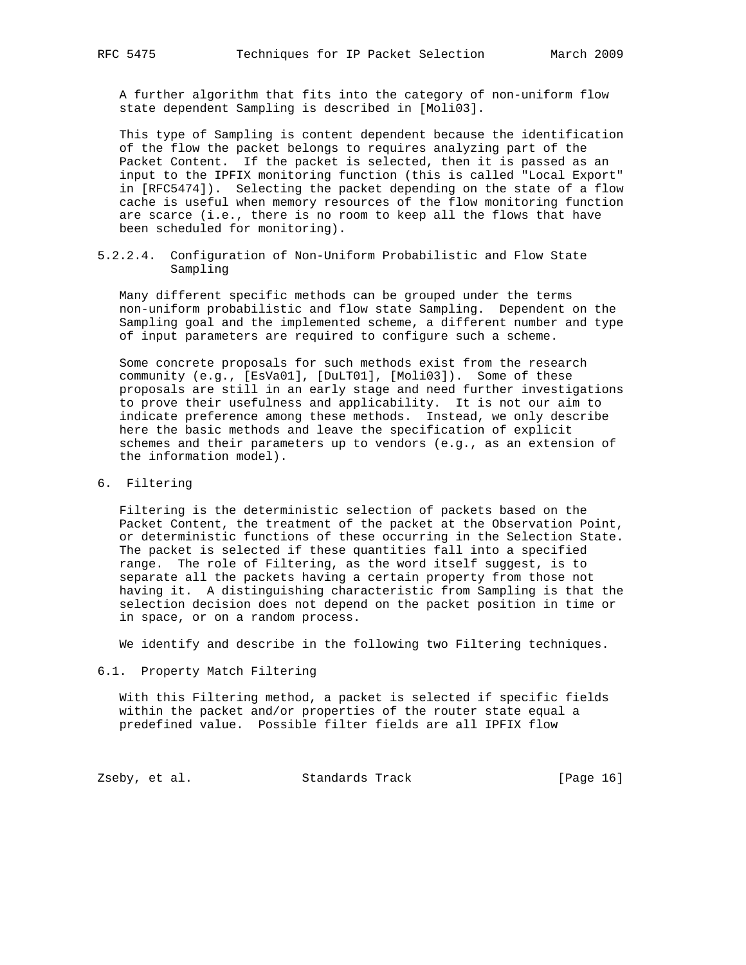A further algorithm that fits into the category of non-uniform flow state dependent Sampling is described in [Moli03].

 This type of Sampling is content dependent because the identification of the flow the packet belongs to requires analyzing part of the Packet Content. If the packet is selected, then it is passed as an input to the IPFIX monitoring function (this is called "Local Export" in [RFC5474]). Selecting the packet depending on the state of a flow cache is useful when memory resources of the flow monitoring function are scarce (i.e., there is no room to keep all the flows that have been scheduled for monitoring).

5.2.2.4. Configuration of Non-Uniform Probabilistic and Flow State Sampling

 Many different specific methods can be grouped under the terms non-uniform probabilistic and flow state Sampling. Dependent on the Sampling goal and the implemented scheme, a different number and type of input parameters are required to configure such a scheme.

 Some concrete proposals for such methods exist from the research community (e.g., [EsVa01], [DuLT01], [Moli03]). Some of these proposals are still in an early stage and need further investigations to prove their usefulness and applicability. It is not our aim to indicate preference among these methods. Instead, we only describe here the basic methods and leave the specification of explicit schemes and their parameters up to vendors (e.g., as an extension of the information model).

6. Filtering

 Filtering is the deterministic selection of packets based on the Packet Content, the treatment of the packet at the Observation Point, or deterministic functions of these occurring in the Selection State. The packet is selected if these quantities fall into a specified range. The role of Filtering, as the word itself suggest, is to separate all the packets having a certain property from those not having it. A distinguishing characteristic from Sampling is that the selection decision does not depend on the packet position in time or in space, or on a random process.

We identify and describe in the following two Filtering techniques.

6.1. Property Match Filtering

 With this Filtering method, a packet is selected if specific fields within the packet and/or properties of the router state equal a predefined value. Possible filter fields are all IPFIX flow

Zseby, et al. Standards Track [Page 16]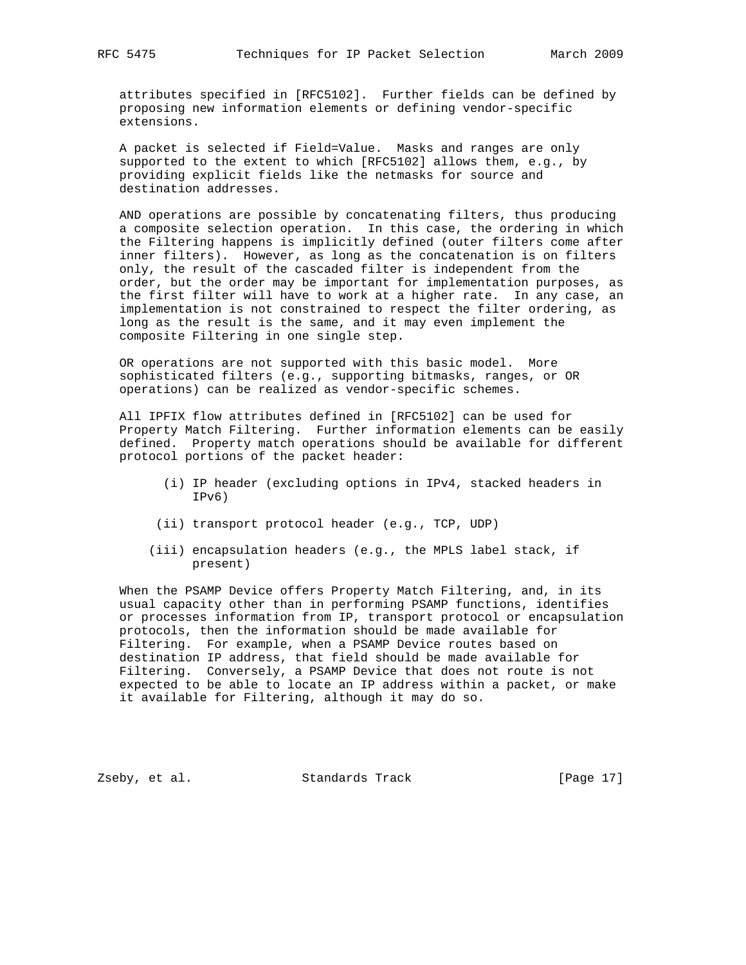attributes specified in [RFC5102]. Further fields can be defined by proposing new information elements or defining vendor-specific extensions.

 A packet is selected if Field=Value. Masks and ranges are only supported to the extent to which [RFC5102] allows them, e.g., by providing explicit fields like the netmasks for source and destination addresses.

 AND operations are possible by concatenating filters, thus producing a composite selection operation. In this case, the ordering in which the Filtering happens is implicitly defined (outer filters come after inner filters). However, as long as the concatenation is on filters only, the result of the cascaded filter is independent from the order, but the order may be important for implementation purposes, as the first filter will have to work at a higher rate. In any case, an implementation is not constrained to respect the filter ordering, as long as the result is the same, and it may even implement the composite Filtering in one single step.

 OR operations are not supported with this basic model. More sophisticated filters (e.g., supporting bitmasks, ranges, or OR operations) can be realized as vendor-specific schemes.

 All IPFIX flow attributes defined in [RFC5102] can be used for Property Match Filtering. Further information elements can be easily defined. Property match operations should be available for different protocol portions of the packet header:

- (i) IP header (excluding options in IPv4, stacked headers in IPv6)
- (ii) transport protocol header (e.g., TCP, UDP)
- (iii) encapsulation headers (e.g., the MPLS label stack, if present)

 When the PSAMP Device offers Property Match Filtering, and, in its usual capacity other than in performing PSAMP functions, identifies or processes information from IP, transport protocol or encapsulation protocols, then the information should be made available for Filtering. For example, when a PSAMP Device routes based on destination IP address, that field should be made available for Filtering. Conversely, a PSAMP Device that does not route is not expected to be able to locate an IP address within a packet, or make it available for Filtering, although it may do so.

Zseby, et al. Standards Track [Page 17]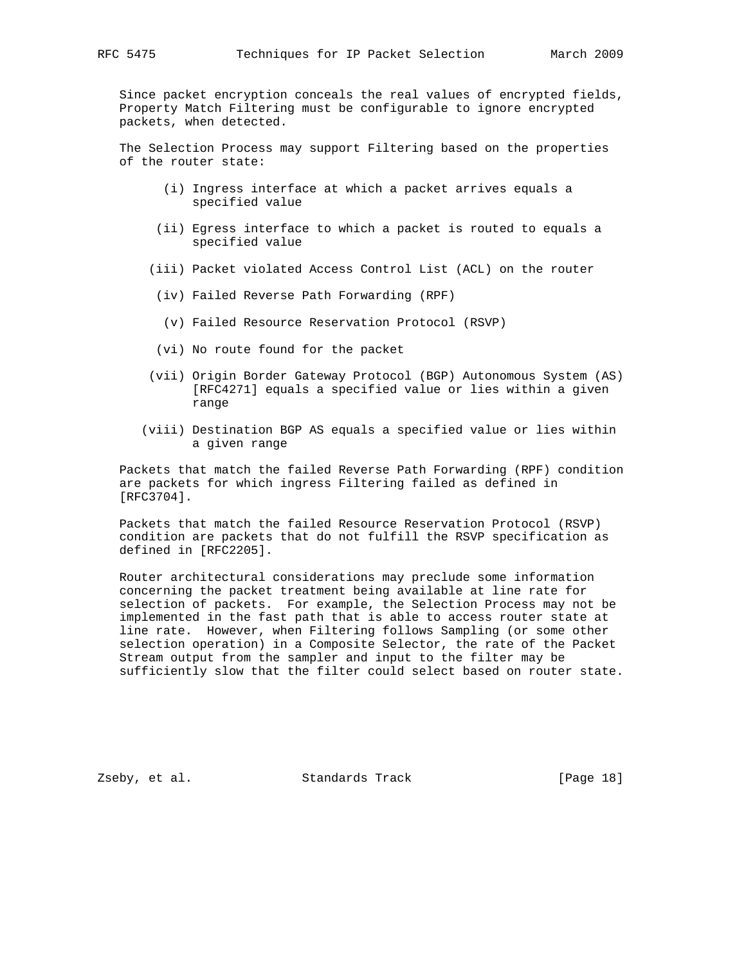Since packet encryption conceals the real values of encrypted fields, Property Match Filtering must be configurable to ignore encrypted packets, when detected.

 The Selection Process may support Filtering based on the properties of the router state:

- (i) Ingress interface at which a packet arrives equals a specified value
- (ii) Egress interface to which a packet is routed to equals a specified value
- (iii) Packet violated Access Control List (ACL) on the router
- (iv) Failed Reverse Path Forwarding (RPF)
- (v) Failed Resource Reservation Protocol (RSVP)
- (vi) No route found for the packet
- (vii) Origin Border Gateway Protocol (BGP) Autonomous System (AS) [RFC4271] equals a specified value or lies within a given range
- (viii) Destination BGP AS equals a specified value or lies within a given range

 Packets that match the failed Reverse Path Forwarding (RPF) condition are packets for which ingress Filtering failed as defined in [RFC3704].

 Packets that match the failed Resource Reservation Protocol (RSVP) condition are packets that do not fulfill the RSVP specification as defined in [RFC2205].

 Router architectural considerations may preclude some information concerning the packet treatment being available at line rate for selection of packets. For example, the Selection Process may not be implemented in the fast path that is able to access router state at line rate. However, when Filtering follows Sampling (or some other selection operation) in a Composite Selector, the rate of the Packet Stream output from the sampler and input to the filter may be sufficiently slow that the filter could select based on router state.

Zseby, et al. Standards Track [Page 18]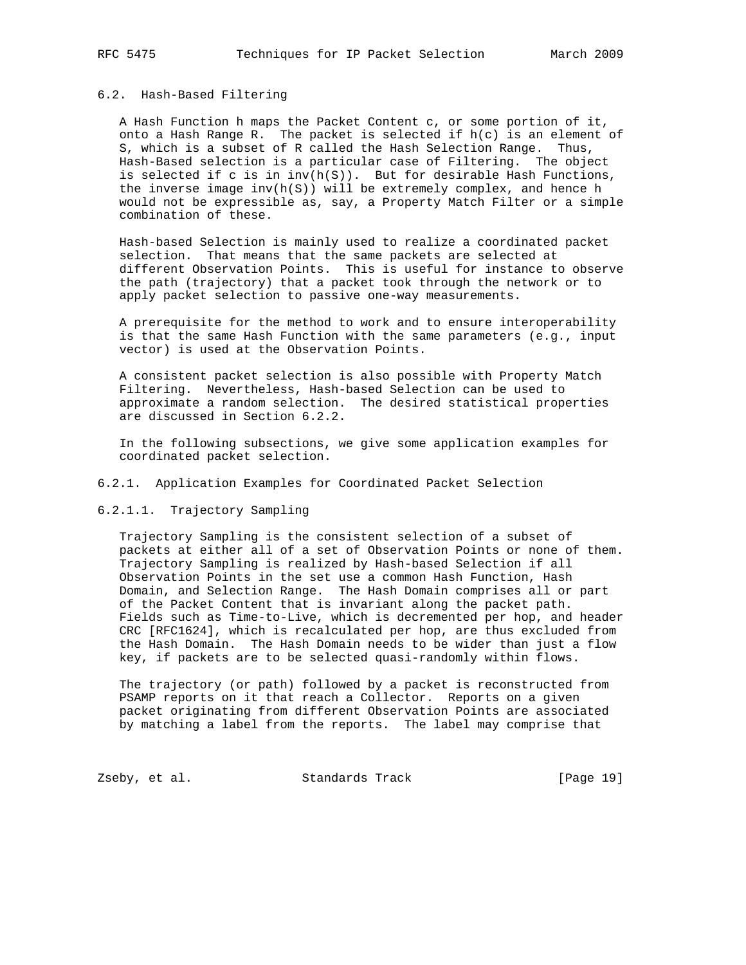## 6.2. Hash-Based Filtering

 A Hash Function h maps the Packet Content c, or some portion of it, onto a Hash Range R. The packet is selected if h(c) is an element of S, which is a subset of R called the Hash Selection Range. Thus, Hash-Based selection is a particular case of Filtering. The object is selected if c is in inv(h(S)). But for desirable Hash Functions, the inverse image  $inv(h(S))$  will be extremely complex, and hence h would not be expressible as, say, a Property Match Filter or a simple combination of these.

 Hash-based Selection is mainly used to realize a coordinated packet selection. That means that the same packets are selected at different Observation Points. This is useful for instance to observe the path (trajectory) that a packet took through the network or to apply packet selection to passive one-way measurements.

 A prerequisite for the method to work and to ensure interoperability is that the same Hash Function with the same parameters (e.g., input vector) is used at the Observation Points.

 A consistent packet selection is also possible with Property Match Filtering. Nevertheless, Hash-based Selection can be used to approximate a random selection. The desired statistical properties are discussed in Section 6.2.2.

 In the following subsections, we give some application examples for coordinated packet selection.

6.2.1. Application Examples for Coordinated Packet Selection

6.2.1.1. Trajectory Sampling

 Trajectory Sampling is the consistent selection of a subset of packets at either all of a set of Observation Points or none of them. Trajectory Sampling is realized by Hash-based Selection if all Observation Points in the set use a common Hash Function, Hash Domain, and Selection Range. The Hash Domain comprises all or part of the Packet Content that is invariant along the packet path. Fields such as Time-to-Live, which is decremented per hop, and header CRC [RFC1624], which is recalculated per hop, are thus excluded from the Hash Domain. The Hash Domain needs to be wider than just a flow key, if packets are to be selected quasi-randomly within flows.

 The trajectory (or path) followed by a packet is reconstructed from PSAMP reports on it that reach a Collector. Reports on a given packet originating from different Observation Points are associated by matching a label from the reports. The label may comprise that

Zseby, et al. Standards Track [Page 19]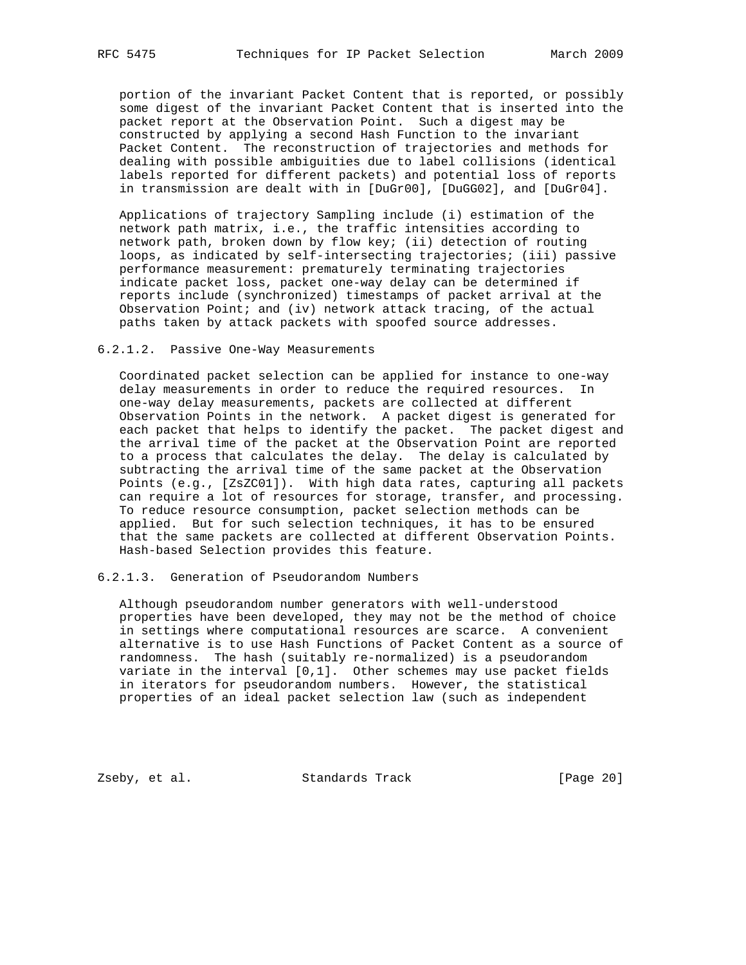portion of the invariant Packet Content that is reported, or possibly some digest of the invariant Packet Content that is inserted into the packet report at the Observation Point. Such a digest may be constructed by applying a second Hash Function to the invariant Packet Content. The reconstruction of trajectories and methods for dealing with possible ambiguities due to label collisions (identical labels reported for different packets) and potential loss of reports in transmission are dealt with in [DuGr00], [DuGG02], and [DuGr04].

 Applications of trajectory Sampling include (i) estimation of the network path matrix, i.e., the traffic intensities according to network path, broken down by flow key; (ii) detection of routing loops, as indicated by self-intersecting trajectories; (iii) passive performance measurement: prematurely terminating trajectories indicate packet loss, packet one-way delay can be determined if reports include (synchronized) timestamps of packet arrival at the Observation Point; and (iv) network attack tracing, of the actual paths taken by attack packets with spoofed source addresses.

#### 6.2.1.2. Passive One-Way Measurements

 Coordinated packet selection can be applied for instance to one-way delay measurements in order to reduce the required resources. In one-way delay measurements, packets are collected at different Observation Points in the network. A packet digest is generated for each packet that helps to identify the packet. The packet digest and the arrival time of the packet at the Observation Point are reported to a process that calculates the delay. The delay is calculated by subtracting the arrival time of the same packet at the Observation Points (e.g., [ZsZC01]). With high data rates, capturing all packets can require a lot of resources for storage, transfer, and processing. To reduce resource consumption, packet selection methods can be applied. But for such selection techniques, it has to be ensured that the same packets are collected at different Observation Points. Hash-based Selection provides this feature.

## 6.2.1.3. Generation of Pseudorandom Numbers

 Although pseudorandom number generators with well-understood properties have been developed, they may not be the method of choice in settings where computational resources are scarce. A convenient alternative is to use Hash Functions of Packet Content as a source of randomness. The hash (suitably re-normalized) is a pseudorandom variate in the interval [0,1]. Other schemes may use packet fields in iterators for pseudorandom numbers. However, the statistical properties of an ideal packet selection law (such as independent

Zseby, et al. Standards Track [Page 20]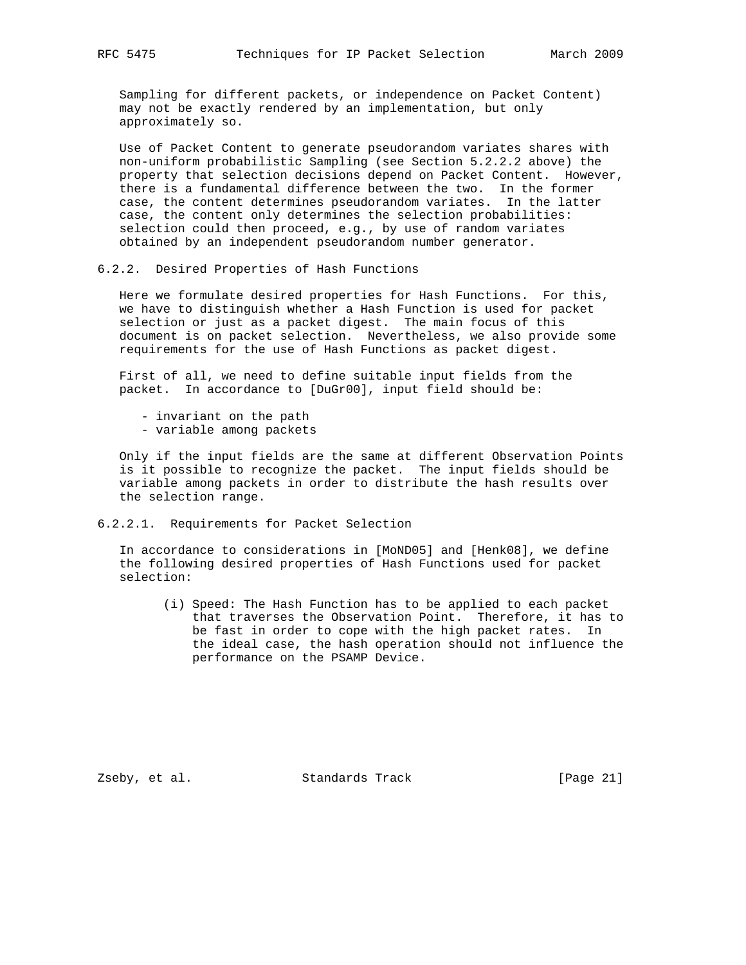Sampling for different packets, or independence on Packet Content) may not be exactly rendered by an implementation, but only approximately so.

 Use of Packet Content to generate pseudorandom variates shares with non-uniform probabilistic Sampling (see Section 5.2.2.2 above) the property that selection decisions depend on Packet Content. However, there is a fundamental difference between the two. In the former case, the content determines pseudorandom variates. In the latter case, the content only determines the selection probabilities: selection could then proceed, e.g., by use of random variates obtained by an independent pseudorandom number generator.

#### 6.2.2. Desired Properties of Hash Functions

 Here we formulate desired properties for Hash Functions. For this, we have to distinguish whether a Hash Function is used for packet selection or just as a packet digest. The main focus of this document is on packet selection. Nevertheless, we also provide some requirements for the use of Hash Functions as packet digest.

 First of all, we need to define suitable input fields from the packet. In accordance to [DuGr00], input field should be:

- invariant on the path
- variable among packets

 Only if the input fields are the same at different Observation Points is it possible to recognize the packet. The input fields should be variable among packets in order to distribute the hash results over the selection range.

6.2.2.1. Requirements for Packet Selection

 In accordance to considerations in [MoND05] and [Henk08], we define the following desired properties of Hash Functions used for packet selection:

 (i) Speed: The Hash Function has to be applied to each packet that traverses the Observation Point. Therefore, it has to be fast in order to cope with the high packet rates. In the ideal case, the hash operation should not influence the performance on the PSAMP Device.

Zseby, et al. Standards Track [Page 21]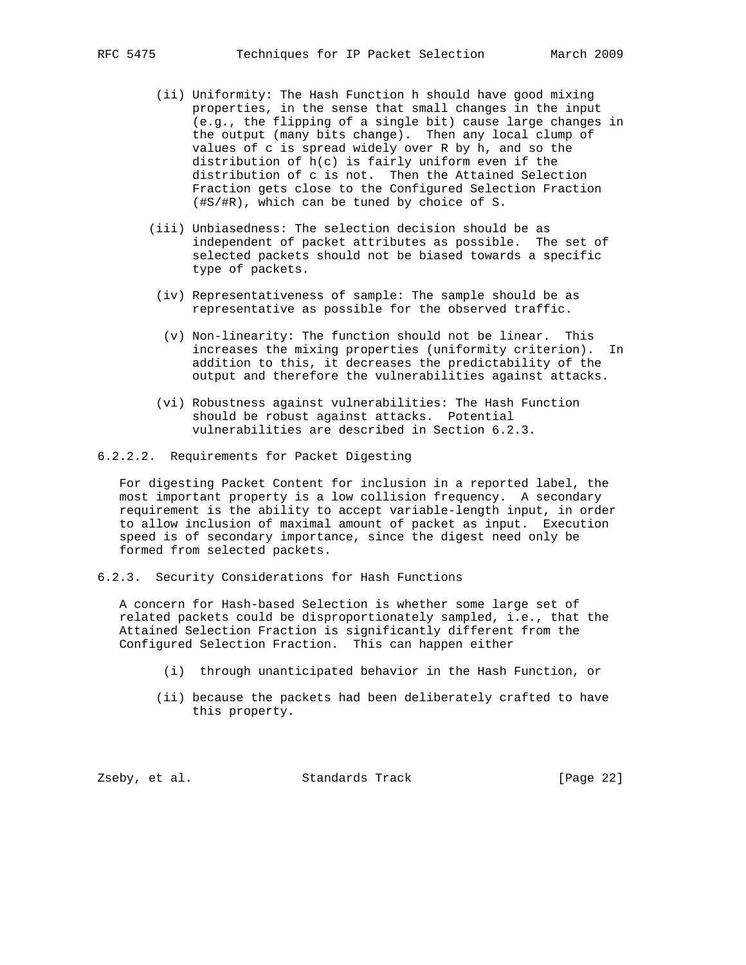- (ii) Uniformity: The Hash Function h should have good mixing properties, in the sense that small changes in the input (e.g., the flipping of a single bit) cause large changes in the output (many bits change). Then any local clump of values of c is spread widely over R by h, and so the distribution of h(c) is fairly uniform even if the distribution of c is not. Then the Attained Selection Fraction gets close to the Configured Selection Fraction (#S/#R), which can be tuned by choice of S.
- (iii) Unbiasedness: The selection decision should be as independent of packet attributes as possible. The set of selected packets should not be biased towards a specific type of packets.
- (iv) Representativeness of sample: The sample should be as representative as possible for the observed traffic.
- (v) Non-linearity: The function should not be linear. This increases the mixing properties (uniformity criterion). In addition to this, it decreases the predictability of the output and therefore the vulnerabilities against attacks.
- (vi) Robustness against vulnerabilities: The Hash Function should be robust against attacks. Potential vulnerabilities are described in Section 6.2.3.
- 6.2.2.2. Requirements for Packet Digesting

 For digesting Packet Content for inclusion in a reported label, the most important property is a low collision frequency. A secondary requirement is the ability to accept variable-length input, in order to allow inclusion of maximal amount of packet as input. Execution speed is of secondary importance, since the digest need only be formed from selected packets.

6.2.3. Security Considerations for Hash Functions

 A concern for Hash-based Selection is whether some large set of related packets could be disproportionately sampled, i.e., that the Attained Selection Fraction is significantly different from the Configured Selection Fraction. This can happen either

- (i) through unanticipated behavior in the Hash Function, or
- (ii) because the packets had been deliberately crafted to have this property.

Zseby, et al. Standards Track [Page 22]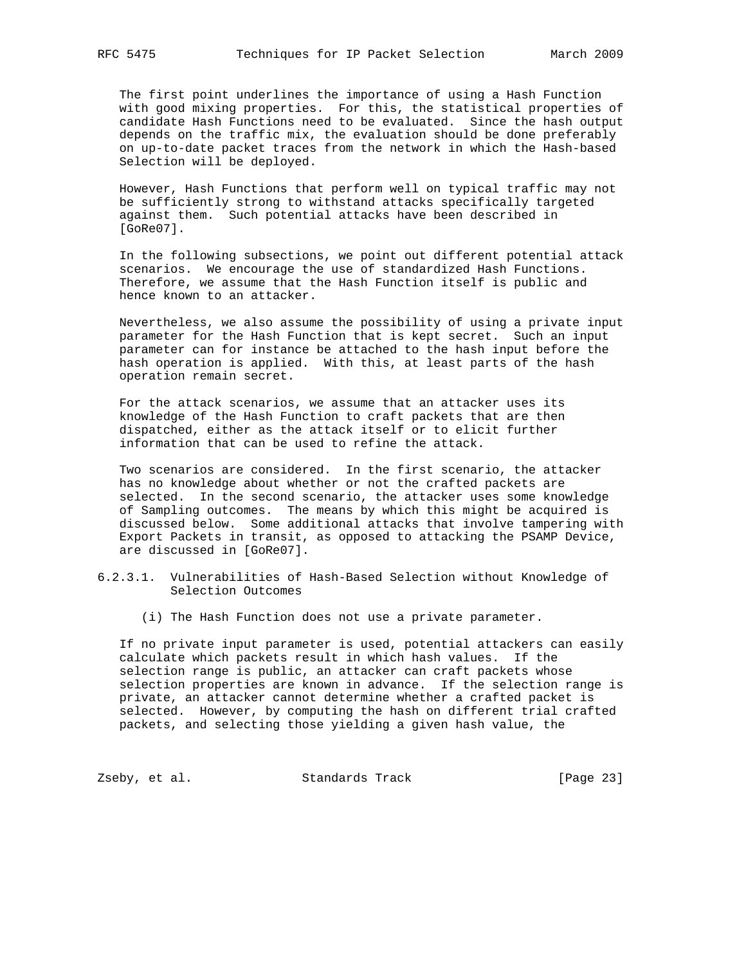The first point underlines the importance of using a Hash Function with good mixing properties. For this, the statistical properties of candidate Hash Functions need to be evaluated. Since the hash output depends on the traffic mix, the evaluation should be done preferably on up-to-date packet traces from the network in which the Hash-based Selection will be deployed.

 However, Hash Functions that perform well on typical traffic may not be sufficiently strong to withstand attacks specifically targeted against them. Such potential attacks have been described in [GoRe07].

 In the following subsections, we point out different potential attack scenarios. We encourage the use of standardized Hash Functions. Therefore, we assume that the Hash Function itself is public and hence known to an attacker.

 Nevertheless, we also assume the possibility of using a private input parameter for the Hash Function that is kept secret. Such an input parameter can for instance be attached to the hash input before the hash operation is applied. With this, at least parts of the hash operation remain secret.

 For the attack scenarios, we assume that an attacker uses its knowledge of the Hash Function to craft packets that are then dispatched, either as the attack itself or to elicit further information that can be used to refine the attack.

 Two scenarios are considered. In the first scenario, the attacker has no knowledge about whether or not the crafted packets are selected. In the second scenario, the attacker uses some knowledge of Sampling outcomes. The means by which this might be acquired is discussed below. Some additional attacks that involve tampering with Export Packets in transit, as opposed to attacking the PSAMP Device, are discussed in [GoRe07].

- 6.2.3.1. Vulnerabilities of Hash-Based Selection without Knowledge of Selection Outcomes
	- (i) The Hash Function does not use a private parameter.

 If no private input parameter is used, potential attackers can easily calculate which packets result in which hash values. If the selection range is public, an attacker can craft packets whose selection properties are known in advance. If the selection range is private, an attacker cannot determine whether a crafted packet is selected. However, by computing the hash on different trial crafted packets, and selecting those yielding a given hash value, the

Zseby, et al. Standards Track [Page 23]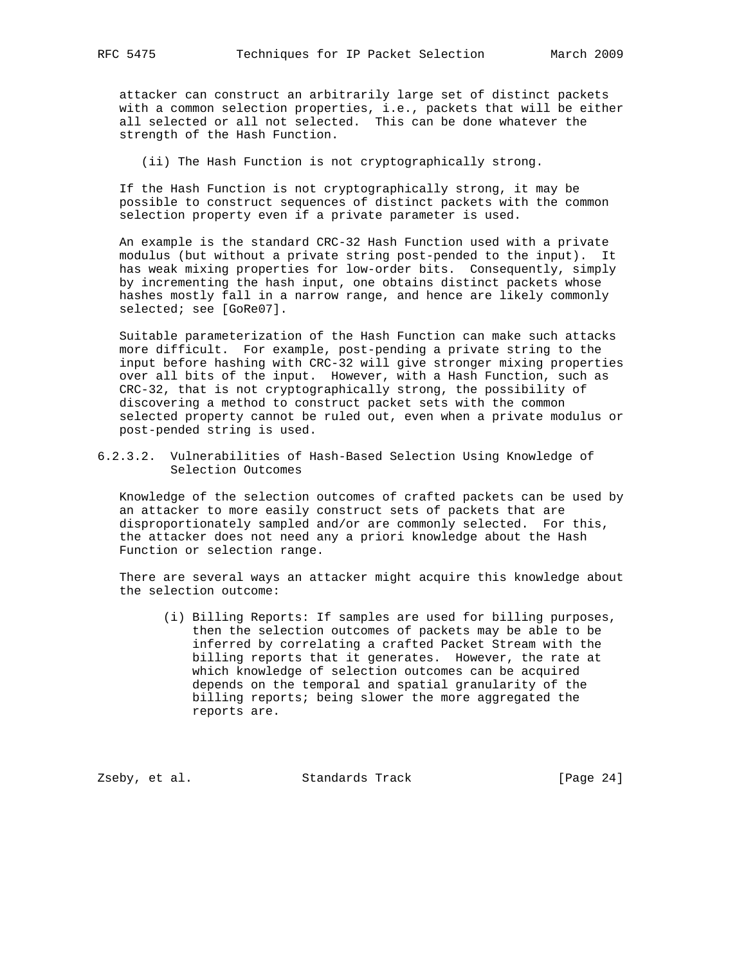attacker can construct an arbitrarily large set of distinct packets with a common selection properties, i.e., packets that will be either all selected or all not selected. This can be done whatever the strength of the Hash Function.

(ii) The Hash Function is not cryptographically strong.

 If the Hash Function is not cryptographically strong, it may be possible to construct sequences of distinct packets with the common selection property even if a private parameter is used.

 An example is the standard CRC-32 Hash Function used with a private modulus (but without a private string post-pended to the input). It has weak mixing properties for low-order bits. Consequently, simply by incrementing the hash input, one obtains distinct packets whose hashes mostly fall in a narrow range, and hence are likely commonly selected; see [GoRe07].

 Suitable parameterization of the Hash Function can make such attacks more difficult. For example, post-pending a private string to the input before hashing with CRC-32 will give stronger mixing properties over all bits of the input. However, with a Hash Function, such as CRC-32, that is not cryptographically strong, the possibility of discovering a method to construct packet sets with the common selected property cannot be ruled out, even when a private modulus or post-pended string is used.

6.2.3.2. Vulnerabilities of Hash-Based Selection Using Knowledge of Selection Outcomes

 Knowledge of the selection outcomes of crafted packets can be used by an attacker to more easily construct sets of packets that are disproportionately sampled and/or are commonly selected. For this, the attacker does not need any a priori knowledge about the Hash Function or selection range.

 There are several ways an attacker might acquire this knowledge about the selection outcome:

 (i) Billing Reports: If samples are used for billing purposes, then the selection outcomes of packets may be able to be inferred by correlating a crafted Packet Stream with the billing reports that it generates. However, the rate at which knowledge of selection outcomes can be acquired depends on the temporal and spatial granularity of the billing reports; being slower the more aggregated the reports are.

Zseby, et al. Standards Track [Page 24]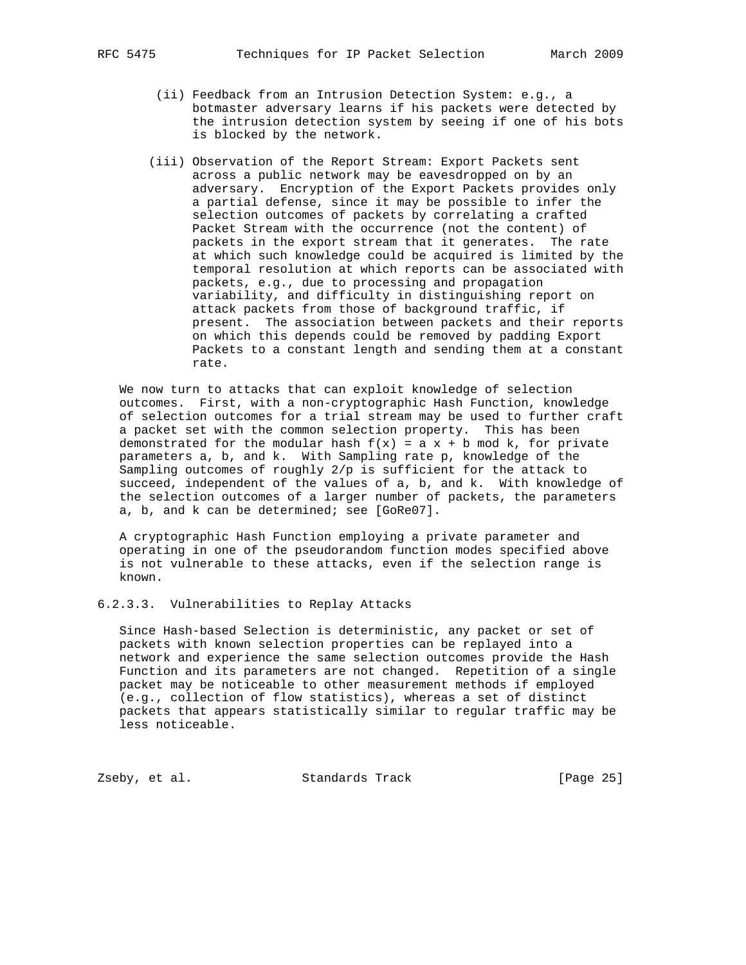- - (ii) Feedback from an Intrusion Detection System: e.g., a botmaster adversary learns if his packets were detected by the intrusion detection system by seeing if one of his bots is blocked by the network.
	- (iii) Observation of the Report Stream: Export Packets sent across a public network may be eavesdropped on by an adversary. Encryption of the Export Packets provides only a partial defense, since it may be possible to infer the selection outcomes of packets by correlating a crafted Packet Stream with the occurrence (not the content) of packets in the export stream that it generates. The rate at which such knowledge could be acquired is limited by the temporal resolution at which reports can be associated with packets, e.g., due to processing and propagation variability, and difficulty in distinguishing report on attack packets from those of background traffic, if present. The association between packets and their reports on which this depends could be removed by padding Export Packets to a constant length and sending them at a constant rate.

 We now turn to attacks that can exploit knowledge of selection outcomes. First, with a non-cryptographic Hash Function, knowledge of selection outcomes for a trial stream may be used to further craft a packet set with the common selection property. This has been demonstrated for the modular hash  $f(x) = a x + b \mod k$ , for private parameters a, b, and k. With Sampling rate p, knowledge of the Sampling outcomes of roughly 2/p is sufficient for the attack to succeed, independent of the values of a, b, and k. With knowledge of the selection outcomes of a larger number of packets, the parameters a, b, and k can be determined; see [GoRe07].

 A cryptographic Hash Function employing a private parameter and operating in one of the pseudorandom function modes specified above is not vulnerable to these attacks, even if the selection range is known.

6.2.3.3. Vulnerabilities to Replay Attacks

 Since Hash-based Selection is deterministic, any packet or set of packets with known selection properties can be replayed into a network and experience the same selection outcomes provide the Hash Function and its parameters are not changed. Repetition of a single packet may be noticeable to other measurement methods if employed (e.g., collection of flow statistics), whereas a set of distinct packets that appears statistically similar to regular traffic may be less noticeable.

Zseby, et al. Standards Track [Page 25]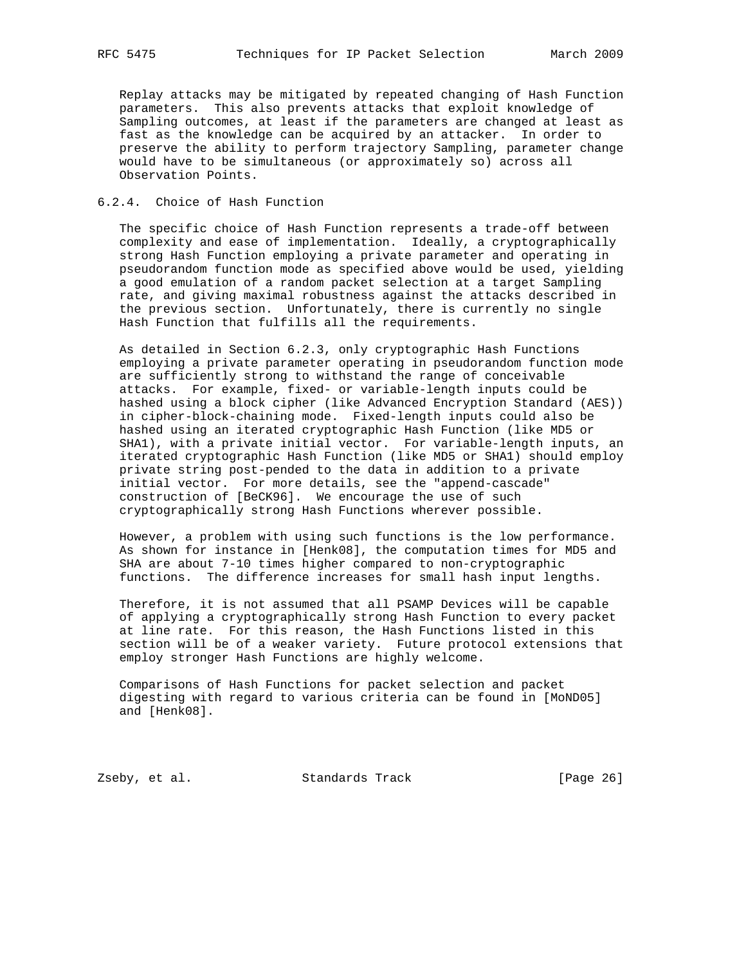Replay attacks may be mitigated by repeated changing of Hash Function parameters. This also prevents attacks that exploit knowledge of Sampling outcomes, at least if the parameters are changed at least as fast as the knowledge can be acquired by an attacker. In order to preserve the ability to perform trajectory Sampling, parameter change would have to be simultaneous (or approximately so) across all Observation Points.

## 6.2.4. Choice of Hash Function

 The specific choice of Hash Function represents a trade-off between complexity and ease of implementation. Ideally, a cryptographically strong Hash Function employing a private parameter and operating in pseudorandom function mode as specified above would be used, yielding a good emulation of a random packet selection at a target Sampling rate, and giving maximal robustness against the attacks described in the previous section. Unfortunately, there is currently no single Hash Function that fulfills all the requirements.

 As detailed in Section 6.2.3, only cryptographic Hash Functions employing a private parameter operating in pseudorandom function mode are sufficiently strong to withstand the range of conceivable attacks. For example, fixed- or variable-length inputs could be hashed using a block cipher (like Advanced Encryption Standard (AES)) in cipher-block-chaining mode. Fixed-length inputs could also be hashed using an iterated cryptographic Hash Function (like MD5 or SHA1), with a private initial vector. For variable-length inputs, an iterated cryptographic Hash Function (like MD5 or SHA1) should employ private string post-pended to the data in addition to a private initial vector. For more details, see the "append-cascade" construction of [BeCK96]. We encourage the use of such cryptographically strong Hash Functions wherever possible.

 However, a problem with using such functions is the low performance. As shown for instance in [Henk08], the computation times for MD5 and SHA are about 7-10 times higher compared to non-cryptographic functions. The difference increases for small hash input lengths.

 Therefore, it is not assumed that all PSAMP Devices will be capable of applying a cryptographically strong Hash Function to every packet at line rate. For this reason, the Hash Functions listed in this section will be of a weaker variety. Future protocol extensions that employ stronger Hash Functions are highly welcome.

 Comparisons of Hash Functions for packet selection and packet digesting with regard to various criteria can be found in [MoND05] and [Henk08].

Zseby, et al. Standards Track [Page 26]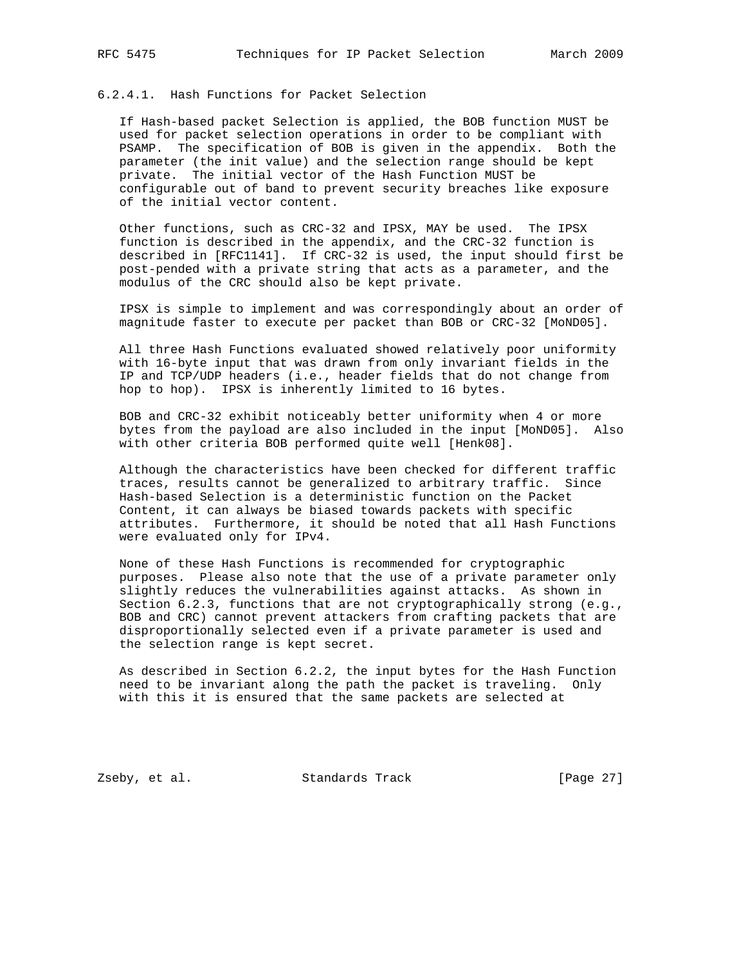## 6.2.4.1. Hash Functions for Packet Selection

 If Hash-based packet Selection is applied, the BOB function MUST be used for packet selection operations in order to be compliant with PSAMP. The specification of BOB is given in the appendix. Both the parameter (the init value) and the selection range should be kept private. The initial vector of the Hash Function MUST be configurable out of band to prevent security breaches like exposure of the initial vector content.

 Other functions, such as CRC-32 and IPSX, MAY be used. The IPSX function is described in the appendix, and the CRC-32 function is described in [RFC1141]. If CRC-32 is used, the input should first be post-pended with a private string that acts as a parameter, and the modulus of the CRC should also be kept private.

 IPSX is simple to implement and was correspondingly about an order of magnitude faster to execute per packet than BOB or CRC-32 [MoND05].

 All three Hash Functions evaluated showed relatively poor uniformity with 16-byte input that was drawn from only invariant fields in the IP and TCP/UDP headers (i.e., header fields that do not change from hop to hop). IPSX is inherently limited to 16 bytes.

 BOB and CRC-32 exhibit noticeably better uniformity when 4 or more bytes from the payload are also included in the input [MoND05]. Also with other criteria BOB performed quite well [Henk08].

 Although the characteristics have been checked for different traffic traces, results cannot be generalized to arbitrary traffic. Since Hash-based Selection is a deterministic function on the Packet Content, it can always be biased towards packets with specific attributes. Furthermore, it should be noted that all Hash Functions were evaluated only for IPv4.

 None of these Hash Functions is recommended for cryptographic purposes. Please also note that the use of a private parameter only slightly reduces the vulnerabilities against attacks. As shown in Section 6.2.3, functions that are not cryptographically strong (e.g., BOB and CRC) cannot prevent attackers from crafting packets that are disproportionally selected even if a private parameter is used and the selection range is kept secret.

 As described in Section 6.2.2, the input bytes for the Hash Function need to be invariant along the path the packet is traveling. Only with this it is ensured that the same packets are selected at

Zseby, et al. Standards Track [Page 27]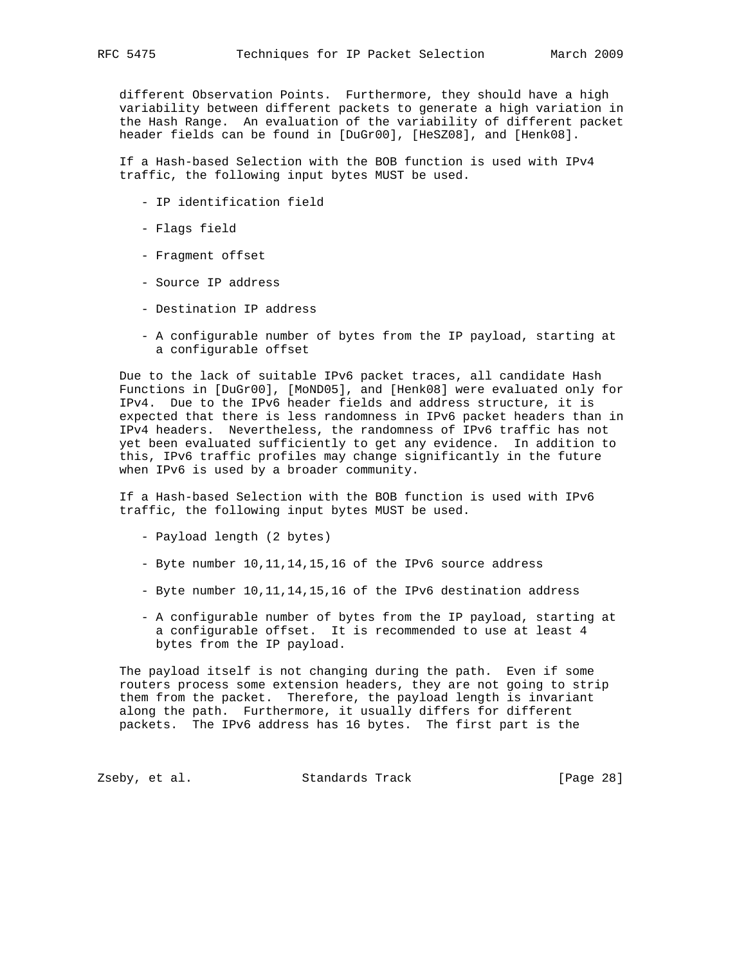different Observation Points. Furthermore, they should have a high variability between different packets to generate a high variation in the Hash Range. An evaluation of the variability of different packet header fields can be found in [DuGr00], [HeSZ08], and [Henk08].

 If a Hash-based Selection with the BOB function is used with IPv4 traffic, the following input bytes MUST be used.

- IP identification field
- Flags field
- Fragment offset
- Source IP address
- Destination IP address
- A configurable number of bytes from the IP payload, starting at a configurable offset

 Due to the lack of suitable IPv6 packet traces, all candidate Hash Functions in [DuGr00], [MoND05], and [Henk08] were evaluated only for IPv4. Due to the IPv6 header fields and address structure, it is expected that there is less randomness in IPv6 packet headers than in IPv4 headers. Nevertheless, the randomness of IPv6 traffic has not yet been evaluated sufficiently to get any evidence. In addition to this, IPv6 traffic profiles may change significantly in the future when IPv6 is used by a broader community.

 If a Hash-based Selection with the BOB function is used with IPv6 traffic, the following input bytes MUST be used.

- Payload length (2 bytes)
- Byte number 10,11,14,15,16 of the IPv6 source address
- Byte number 10,11,14,15,16 of the IPv6 destination address
- A configurable number of bytes from the IP payload, starting at a configurable offset. It is recommended to use at least 4 bytes from the IP payload.

 The payload itself is not changing during the path. Even if some routers process some extension headers, they are not going to strip them from the packet. Therefore, the payload length is invariant along the path. Furthermore, it usually differs for different packets. The IPv6 address has 16 bytes. The first part is the

Zseby, et al. Standards Track [Page 28]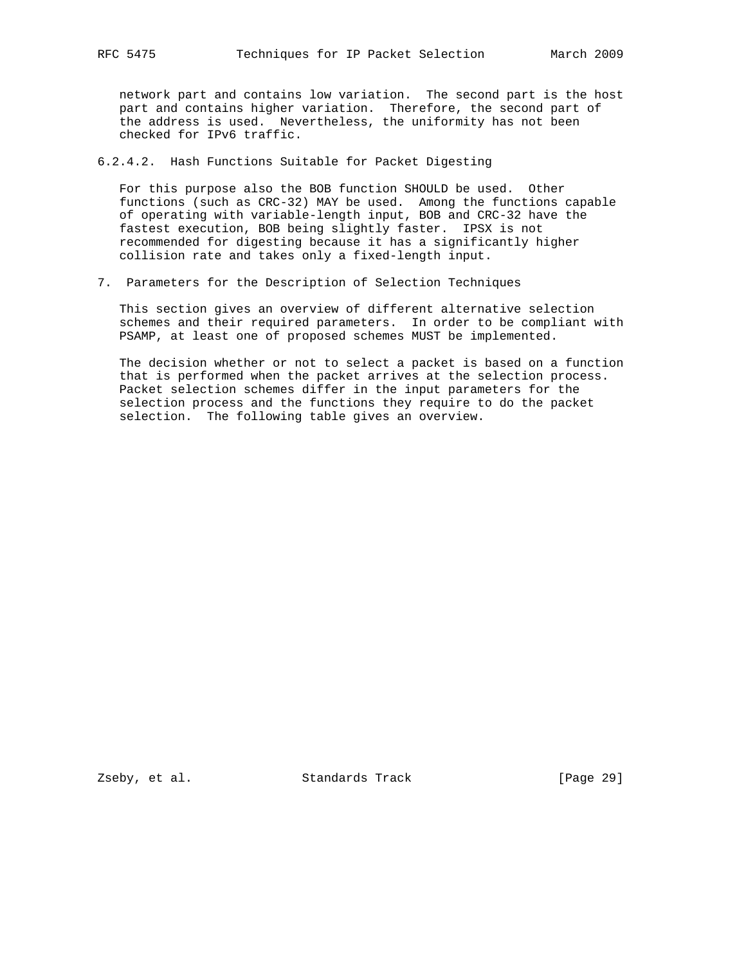network part and contains low variation. The second part is the host part and contains higher variation. Therefore, the second part of the address is used. Nevertheless, the uniformity has not been checked for IPv6 traffic.

6.2.4.2. Hash Functions Suitable for Packet Digesting

 For this purpose also the BOB function SHOULD be used. Other functions (such as CRC-32) MAY be used. Among the functions capable of operating with variable-length input, BOB and CRC-32 have the fastest execution, BOB being slightly faster. IPSX is not recommended for digesting because it has a significantly higher collision rate and takes only a fixed-length input.

7. Parameters for the Description of Selection Techniques

 This section gives an overview of different alternative selection schemes and their required parameters. In order to be compliant with PSAMP, at least one of proposed schemes MUST be implemented.

 The decision whether or not to select a packet is based on a function that is performed when the packet arrives at the selection process. Packet selection schemes differ in the input parameters for the selection process and the functions they require to do the packet selection. The following table gives an overview.

Zseby, et al. Standards Track [Page 29]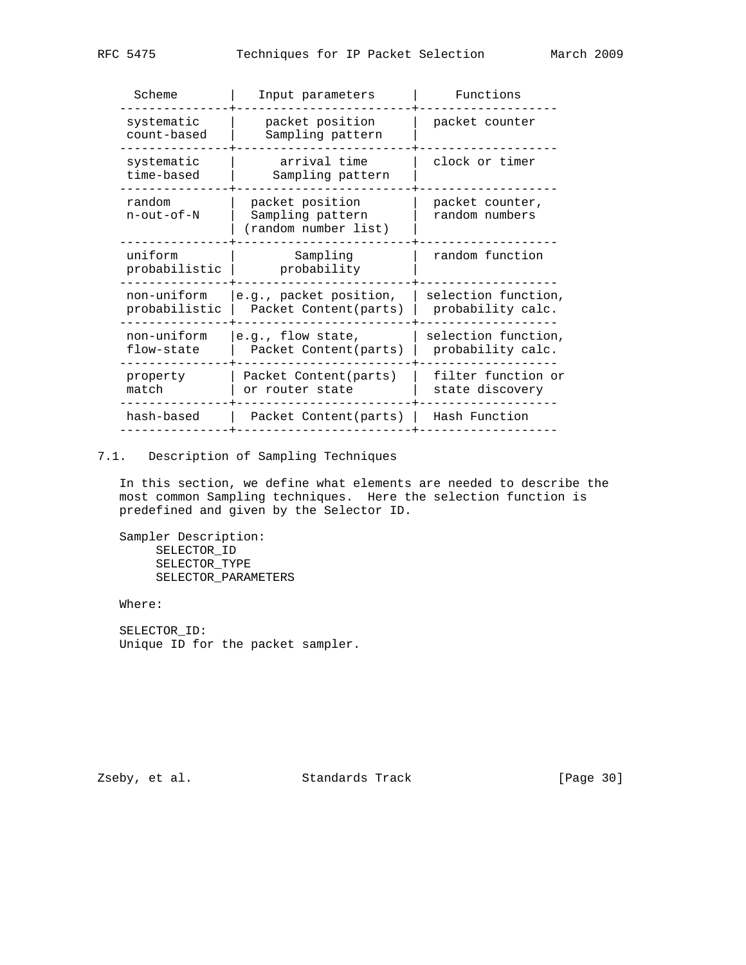|  | Scheme                             | Input parameters                                            | Functions                                |  |
|--|------------------------------------|-------------------------------------------------------------|------------------------------------------|--|
|  | systematic<br>count-based          | packet position<br>Sampling pattern                         | packet counter                           |  |
|  | systematic<br>time-based           | arrival time<br>Sampling pattern                            | clock or timer                           |  |
|  | random<br>$n$ - $out$ - $of$ - $N$ | packet position<br>Sampling pattern<br>(random number list) | packet counter,<br>random numbers        |  |
|  | uniform<br>probabilistic           | Sampling<br>probability                                     | random function                          |  |
|  | non-uniform<br>probabilistic       | e.g., packet position,<br>Packet Content (parts)            | selection function,<br>probability calc. |  |
|  | non-uniform<br>flow-state          | e.g., flow state,<br>Packet Content (parts)                 | selection function,<br>probability calc. |  |
|  | property<br>match                  | Packet Content(parts)<br>or router state                    | filter function or<br>state discovery    |  |
|  | hash-based                         | Packet Content (parts)                                      | Hash Function                            |  |
|  |                                    |                                                             |                                          |  |

## 7.1. Description of Sampling Techniques

 In this section, we define what elements are needed to describe the most common Sampling techniques. Here the selection function is predefined and given by the Selector ID.

 Sampler Description: SELECTOR\_ID SELECTOR\_TYPE SELECTOR\_PARAMETERS

Where:

 SELECTOR\_ID: Unique ID for the packet sampler.

Zseby, et al. Standards Track [Page 30]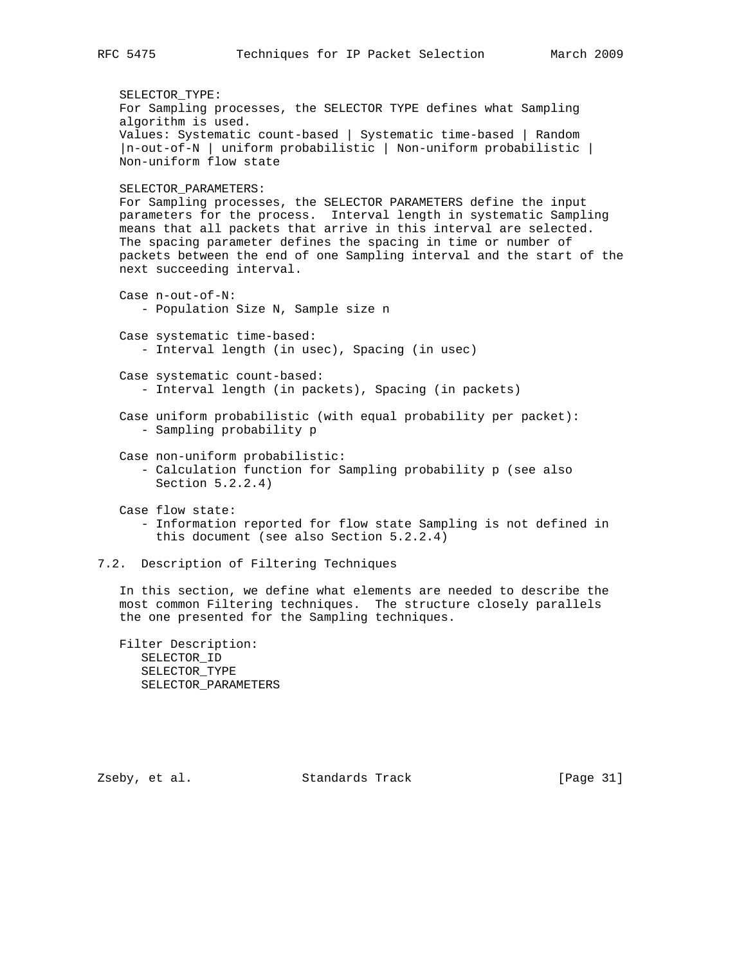```
 SELECTOR_TYPE:
    For Sampling processes, the SELECTOR TYPE defines what Sampling
    algorithm is used.
   Values: Systematic count-based | Systematic time-based | Random
    |n-out-of-N | uniform probabilistic | Non-uniform probabilistic |
   Non-uniform flow state
   SELECTOR_PARAMETERS:
   For Sampling processes, the SELECTOR PARAMETERS define the input
   parameters for the process. Interval length in systematic Sampling
   means that all packets that arrive in this interval are selected.
   The spacing parameter defines the spacing in time or number of
   packets between the end of one Sampling interval and the start of the
   next succeeding interval.
   Case n-out-of-N:
      - Population Size N, Sample size n
   Case systematic time-based:
      - Interval length (in usec), Spacing (in usec)
   Case systematic count-based:
       - Interval length (in packets), Spacing (in packets)
    Case uniform probabilistic (with equal probability per packet):
       - Sampling probability p
    Case non-uniform probabilistic:
       - Calculation function for Sampling probability p (see also
         Section 5.2.2.4)
    Case flow state:
       - Information reported for flow state Sampling is not defined in
        this document (see also Section 5.2.2.4)
7.2. Description of Filtering Techniques
```
 In this section, we define what elements are needed to describe the most common Filtering techniques. The structure closely parallels the one presented for the Sampling techniques.

 Filter Description: SELECTOR\_ID SELECTOR\_TYPE SELECTOR\_PARAMETERS

Zseby, et al. Standards Track [Page 31]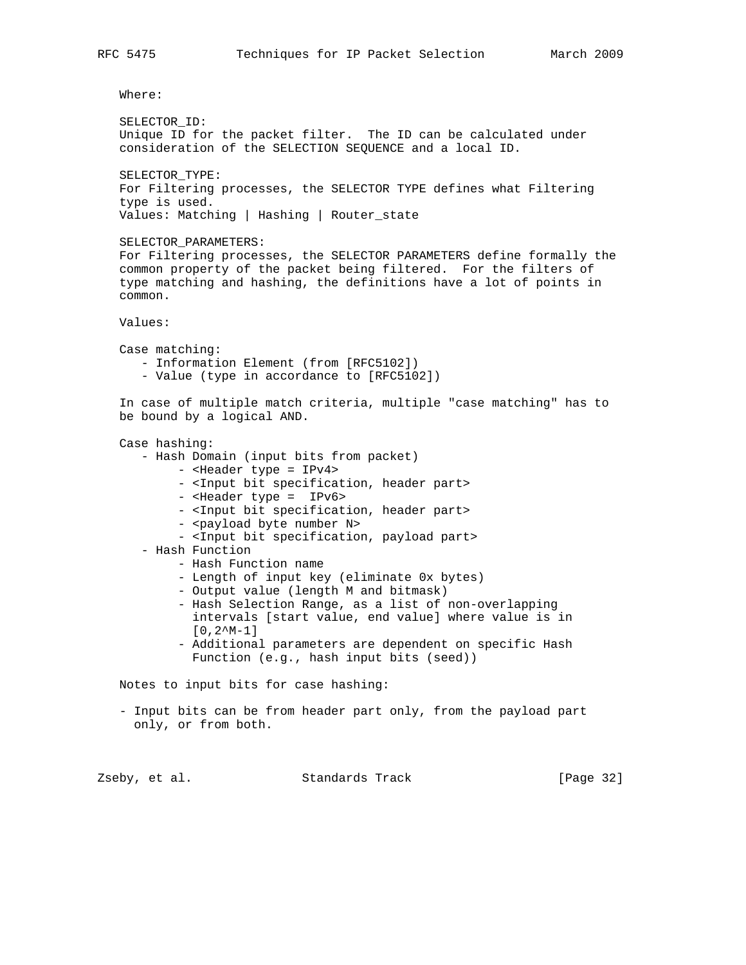Where:

```
 SELECTOR_ID:
 Unique ID for the packet filter. The ID can be calculated under
 consideration of the SELECTION SEQUENCE and a local ID.
 SELECTOR_TYPE:
 For Filtering processes, the SELECTOR TYPE defines what Filtering
 type is used.
 Values: Matching | Hashing | Router_state
 SELECTOR_PARAMETERS:
 For Filtering processes, the SELECTOR PARAMETERS define formally the
 common property of the packet being filtered. For the filters of
 type matching and hashing, the definitions have a lot of points in
 common.
 Values:
 Case matching:
    - Information Element (from [RFC5102])
    - Value (type in accordance to [RFC5102])
 In case of multiple match criteria, multiple "case matching" has to
 be bound by a logical AND.
 Case hashing:
    - Hash Domain (input bits from packet)
         - <Header type = IPv4>
         - <Input bit specification, header part>
         - <Header type = IPv6>
         - <Input bit specification, header part>
        - <payload byte number N>
         - <Input bit specification, payload part>
    - Hash Function
         - Hash Function name
         - Length of input key (eliminate 0x bytes)
         - Output value (length M and bitmask)
         - Hash Selection Range, as a list of non-overlapping
           intervals [start value, end value] where value is in
          [0,2^M-1] - Additional parameters are dependent on specific Hash
           Function (e.g., hash input bits (seed))
 Notes to input bits for case hashing:
 - Input bits can be from header part only, from the payload part
  only, or from both.
```
Zseby, et al. Standards Track [Page 32]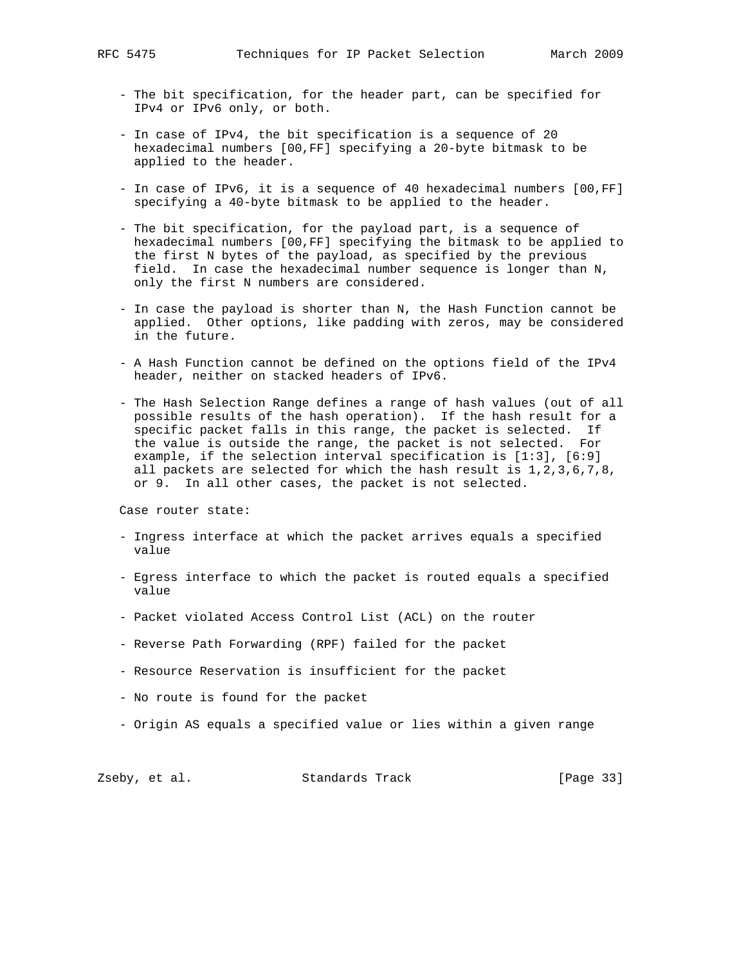- The bit specification, for the header part, can be specified for IPv4 or IPv6 only, or both.
- In case of IPv4, the bit specification is a sequence of 20 hexadecimal numbers [00,FF] specifying a 20-byte bitmask to be applied to the header.
- In case of IPv6, it is a sequence of 40 hexadecimal numbers [00,FF] specifying a 40-byte bitmask to be applied to the header.
- The bit specification, for the payload part, is a sequence of hexadecimal numbers [00,FF] specifying the bitmask to be applied to the first N bytes of the payload, as specified by the previous field. In case the hexadecimal number sequence is longer than N, only the first N numbers are considered.
- In case the payload is shorter than N, the Hash Function cannot be applied. Other options, like padding with zeros, may be considered in the future.
- A Hash Function cannot be defined on the options field of the IPv4 header, neither on stacked headers of IPv6.
- The Hash Selection Range defines a range of hash values (out of all possible results of the hash operation). If the hash result for a specific packet falls in this range, the packet is selected. If the value is outside the range, the packet is not selected. For example, if the selection interval specification is [1:3], [6:9] all packets are selected for which the hash result is  $1, 2, 3, 6, 7, 8$ , or 9. In all other cases, the packet is not selected.

Case router state:

- Ingress interface at which the packet arrives equals a specified value
- Egress interface to which the packet is routed equals a specified value
- Packet violated Access Control List (ACL) on the router
- Reverse Path Forwarding (RPF) failed for the packet
- Resource Reservation is insufficient for the packet
- No route is found for the packet
- Origin AS equals a specified value or lies within a given range

Zseby, et al. Standards Track [Page 33]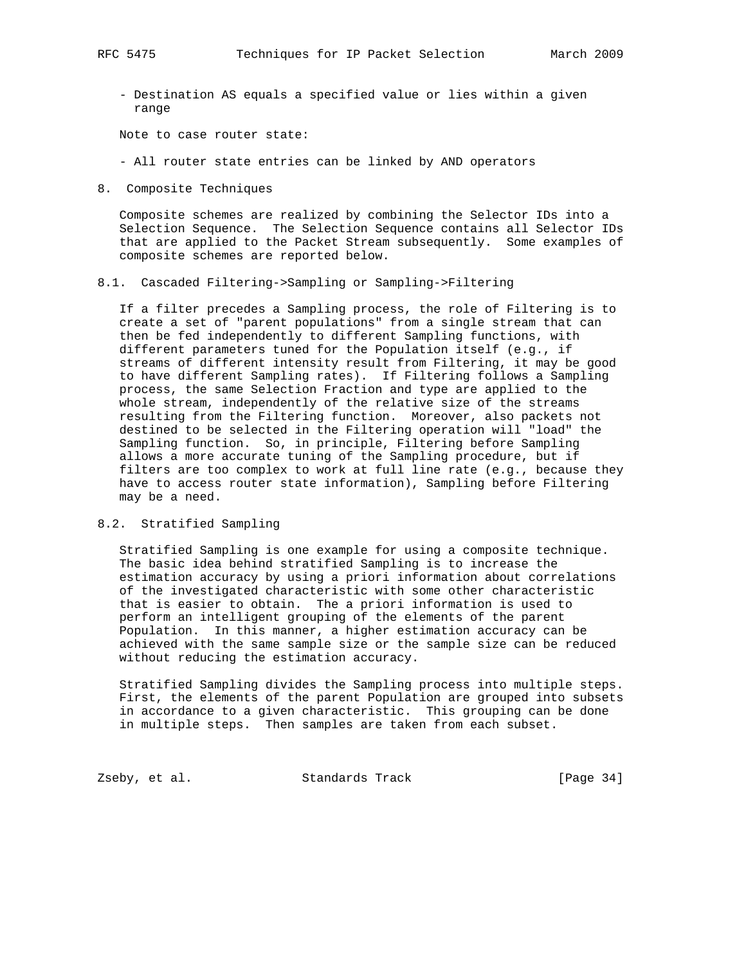- Destination AS equals a specified value or lies within a given range

Note to case router state:

- All router state entries can be linked by AND operators
- 8. Composite Techniques

 Composite schemes are realized by combining the Selector IDs into a Selection Sequence. The Selection Sequence contains all Selector IDs that are applied to the Packet Stream subsequently. Some examples of composite schemes are reported below.

### 8.1. Cascaded Filtering->Sampling or Sampling->Filtering

 If a filter precedes a Sampling process, the role of Filtering is to create a set of "parent populations" from a single stream that can then be fed independently to different Sampling functions, with different parameters tuned for the Population itself (e.g., if streams of different intensity result from Filtering, it may be good to have different Sampling rates). If Filtering follows a Sampling process, the same Selection Fraction and type are applied to the whole stream, independently of the relative size of the streams resulting from the Filtering function. Moreover, also packets not destined to be selected in the Filtering operation will "load" the Sampling function. So, in principle, Filtering before Sampling allows a more accurate tuning of the Sampling procedure, but if filters are too complex to work at full line rate (e.g., because they have to access router state information), Sampling before Filtering may be a need.

## 8.2. Stratified Sampling

 Stratified Sampling is one example for using a composite technique. The basic idea behind stratified Sampling is to increase the estimation accuracy by using a priori information about correlations of the investigated characteristic with some other characteristic that is easier to obtain. The a priori information is used to perform an intelligent grouping of the elements of the parent Population. In this manner, a higher estimation accuracy can be achieved with the same sample size or the sample size can be reduced without reducing the estimation accuracy.

 Stratified Sampling divides the Sampling process into multiple steps. First, the elements of the parent Population are grouped into subsets in accordance to a given characteristic. This grouping can be done in multiple steps. Then samples are taken from each subset.

Zseby, et al. Standards Track [Page 34]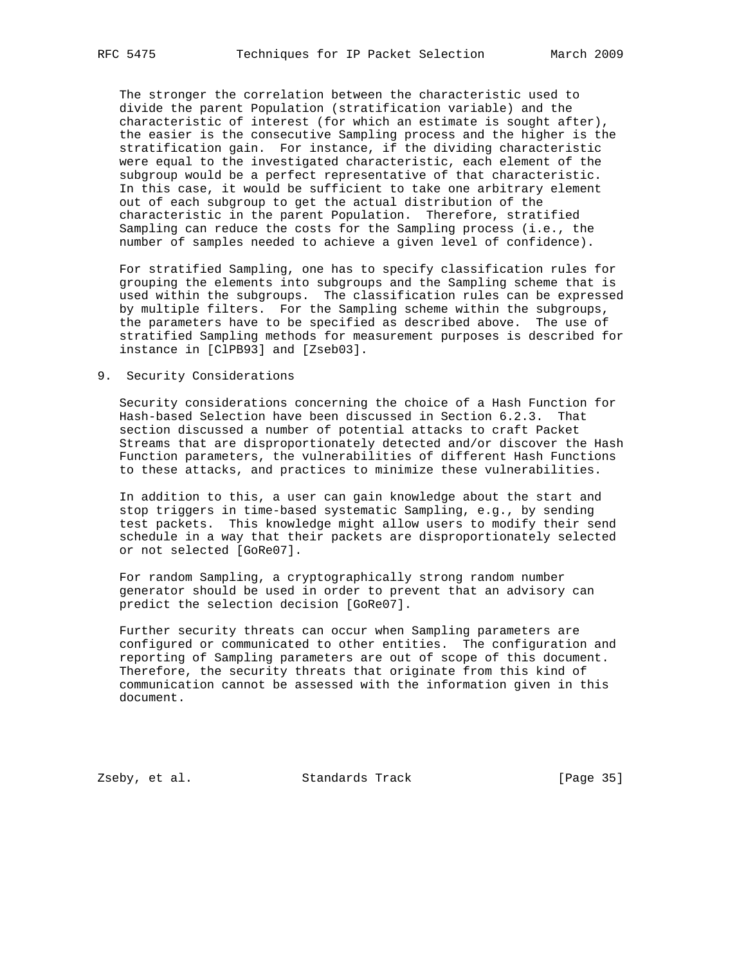The stronger the correlation between the characteristic used to divide the parent Population (stratification variable) and the characteristic of interest (for which an estimate is sought after), the easier is the consecutive Sampling process and the higher is the stratification gain. For instance, if the dividing characteristic were equal to the investigated characteristic, each element of the subgroup would be a perfect representative of that characteristic. In this case, it would be sufficient to take one arbitrary element out of each subgroup to get the actual distribution of the characteristic in the parent Population. Therefore, stratified Sampling can reduce the costs for the Sampling process (i.e., the number of samples needed to achieve a given level of confidence).

 For stratified Sampling, one has to specify classification rules for grouping the elements into subgroups and the Sampling scheme that is used within the subgroups. The classification rules can be expressed by multiple filters. For the Sampling scheme within the subgroups, the parameters have to be specified as described above. The use of stratified Sampling methods for measurement purposes is described for instance in [ClPB93] and [Zseb03].

## 9. Security Considerations

 Security considerations concerning the choice of a Hash Function for Hash-based Selection have been discussed in Section 6.2.3. That section discussed a number of potential attacks to craft Packet Streams that are disproportionately detected and/or discover the Hash Function parameters, the vulnerabilities of different Hash Functions to these attacks, and practices to minimize these vulnerabilities.

 In addition to this, a user can gain knowledge about the start and stop triggers in time-based systematic Sampling, e.g., by sending test packets. This knowledge might allow users to modify their send schedule in a way that their packets are disproportionately selected or not selected [GoRe07].

 For random Sampling, a cryptographically strong random number generator should be used in order to prevent that an advisory can predict the selection decision [GoRe07].

 Further security threats can occur when Sampling parameters are configured or communicated to other entities. The configuration and reporting of Sampling parameters are out of scope of this document. Therefore, the security threats that originate from this kind of communication cannot be assessed with the information given in this document.

Zseby, et al. Standards Track [Page 35]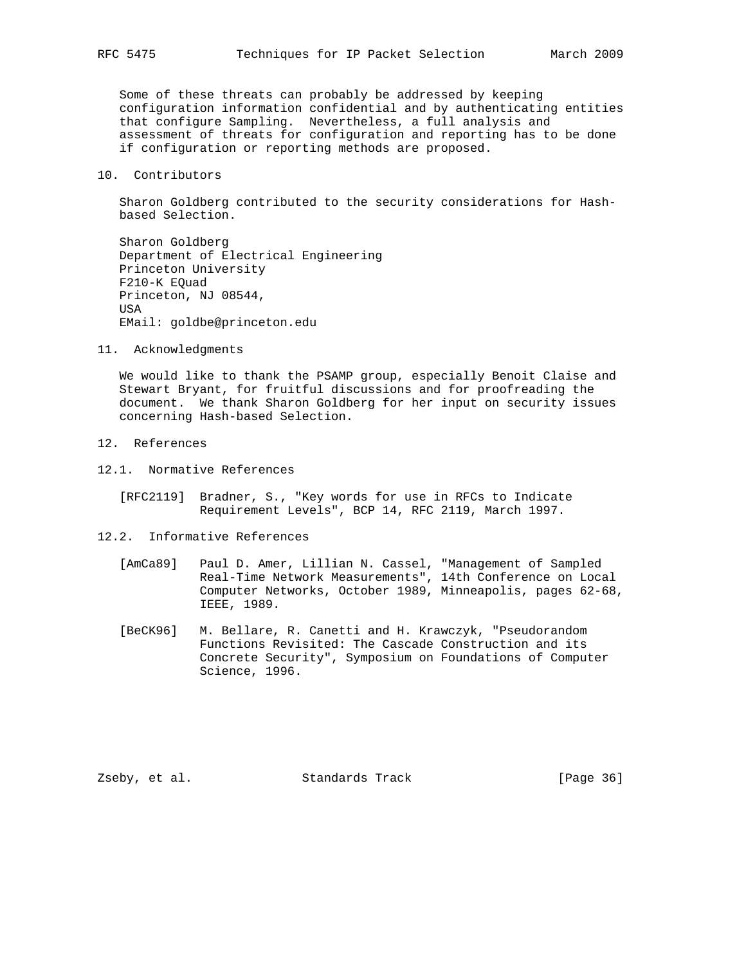Some of these threats can probably be addressed by keeping configuration information confidential and by authenticating entities that configure Sampling. Nevertheless, a full analysis and assessment of threats for configuration and reporting has to be done if configuration or reporting methods are proposed.

#### 10. Contributors

 Sharon Goldberg contributed to the security considerations for Hash based Selection.

 Sharon Goldberg Department of Electrical Engineering Princeton University F210-K EQuad Princeton, NJ 08544, USA EMail: goldbe@princeton.edu

11. Acknowledgments

 We would like to thank the PSAMP group, especially Benoit Claise and Stewart Bryant, for fruitful discussions and for proofreading the document. We thank Sharon Goldberg for her input on security issues concerning Hash-based Selection.

- 12. References
- 12.1. Normative References
	- [RFC2119] Bradner, S., "Key words for use in RFCs to Indicate Requirement Levels", BCP 14, RFC 2119, March 1997.
- 12.2. Informative References
	- [AmCa89] Paul D. Amer, Lillian N. Cassel, "Management of Sampled Real-Time Network Measurements", 14th Conference on Local Computer Networks, October 1989, Minneapolis, pages 62-68, IEEE, 1989.
	- [BeCK96] M. Bellare, R. Canetti and H. Krawczyk, "Pseudorandom Functions Revisited: The Cascade Construction and its Concrete Security", Symposium on Foundations of Computer Science, 1996.

Zseby, et al. Standards Track [Page 36]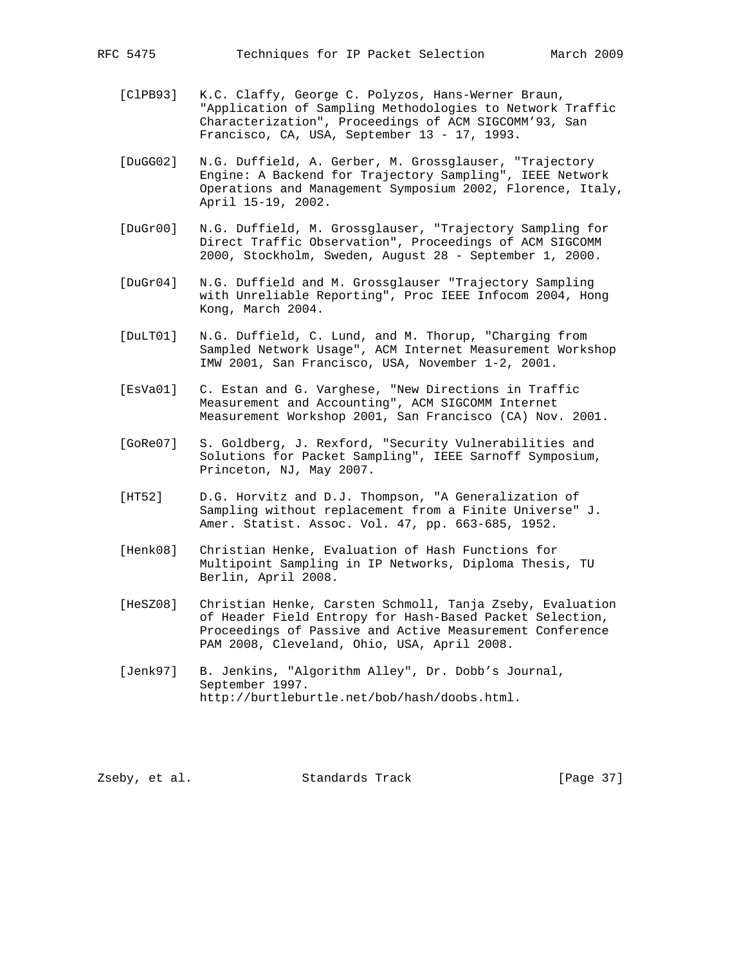- [ClPB93] K.C. Claffy, George C. Polyzos, Hans-Werner Braun, "Application of Sampling Methodologies to Network Traffic Characterization", Proceedings of ACM SIGCOMM'93, San Francisco, CA, USA, September 13 - 17, 1993.
- [DuGG02] N.G. Duffield, A. Gerber, M. Grossglauser, "Trajectory Engine: A Backend for Trajectory Sampling", IEEE Network Operations and Management Symposium 2002, Florence, Italy, April 15-19, 2002.
- [DuGr00] N.G. Duffield, M. Grossglauser, "Trajectory Sampling for Direct Traffic Observation", Proceedings of ACM SIGCOMM 2000, Stockholm, Sweden, August 28 - September 1, 2000.
- [DuGr04] N.G. Duffield and M. Grossglauser "Trajectory Sampling with Unreliable Reporting", Proc IEEE Infocom 2004, Hong Kong, March 2004.
- [DuLT01] N.G. Duffield, C. Lund, and M. Thorup, "Charging from Sampled Network Usage", ACM Internet Measurement Workshop IMW 2001, San Francisco, USA, November 1-2, 2001.
- [EsVa01] C. Estan and G. Varghese, "New Directions in Traffic Measurement and Accounting", ACM SIGCOMM Internet Measurement Workshop 2001, San Francisco (CA) Nov. 2001.
- [GoRe07] S. Goldberg, J. Rexford, "Security Vulnerabilities and Solutions for Packet Sampling", IEEE Sarnoff Symposium, Princeton, NJ, May 2007.
- [HT52] D.G. Horvitz and D.J. Thompson, "A Generalization of Sampling without replacement from a Finite Universe" J. Amer. Statist. Assoc. Vol. 47, pp. 663-685, 1952.
- [Henk08] Christian Henke, Evaluation of Hash Functions for Multipoint Sampling in IP Networks, Diploma Thesis, TU Berlin, April 2008.
- [HeSZ08] Christian Henke, Carsten Schmoll, Tanja Zseby, Evaluation of Header Field Entropy for Hash-Based Packet Selection, Proceedings of Passive and Active Measurement Conference PAM 2008, Cleveland, Ohio, USA, April 2008.
- [Jenk97] B. Jenkins, "Algorithm Alley", Dr. Dobb's Journal, September 1997. http://burtleburtle.net/bob/hash/doobs.html.

Zseby, et al. Standards Track [Page 37]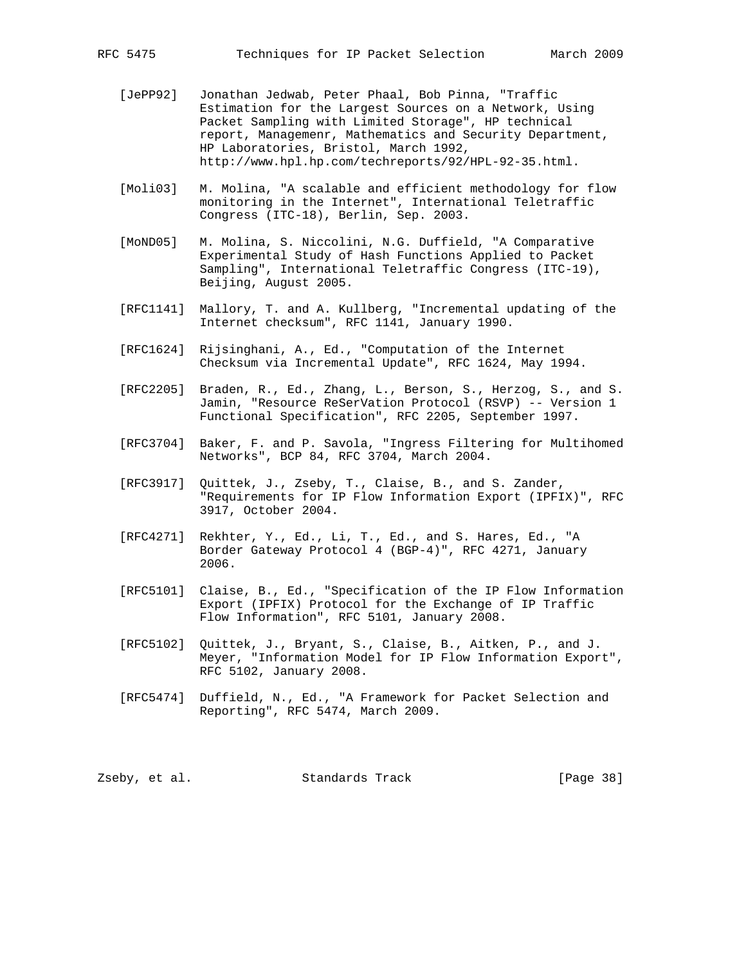- [JePP92] Jonathan Jedwab, Peter Phaal, Bob Pinna, "Traffic Estimation for the Largest Sources on a Network, Using Packet Sampling with Limited Storage", HP technical report, Managemenr, Mathematics and Security Department, HP Laboratories, Bristol, March 1992, http://www.hpl.hp.com/techreports/92/HPL-92-35.html.
- [Moli03] M. Molina, "A scalable and efficient methodology for flow monitoring in the Internet", International Teletraffic Congress (ITC-18), Berlin, Sep. 2003.
- [MoND05] M. Molina, S. Niccolini, N.G. Duffield, "A Comparative Experimental Study of Hash Functions Applied to Packet Sampling", International Teletraffic Congress (ITC-19), Beijing, August 2005.
- [RFC1141] Mallory, T. and A. Kullberg, "Incremental updating of the Internet checksum", RFC 1141, January 1990.
- [RFC1624] Rijsinghani, A., Ed., "Computation of the Internet Checksum via Incremental Update", RFC 1624, May 1994.
- [RFC2205] Braden, R., Ed., Zhang, L., Berson, S., Herzog, S., and S. Jamin, "Resource ReSerVation Protocol (RSVP) -- Version 1 Functional Specification", RFC 2205, September 1997.
- [RFC3704] Baker, F. and P. Savola, "Ingress Filtering for Multihomed Networks", BCP 84, RFC 3704, March 2004.
- [RFC3917] Quittek, J., Zseby, T., Claise, B., and S. Zander, "Requirements for IP Flow Information Export (IPFIX)", RFC 3917, October 2004.
- [RFC4271] Rekhter, Y., Ed., Li, T., Ed., and S. Hares, Ed., "A Border Gateway Protocol 4 (BGP-4)", RFC 4271, January 2006.
- [RFC5101] Claise, B., Ed., "Specification of the IP Flow Information Export (IPFIX) Protocol for the Exchange of IP Traffic Flow Information", RFC 5101, January 2008.
- [RFC5102] Quittek, J., Bryant, S., Claise, B., Aitken, P., and J. Meyer, "Information Model for IP Flow Information Export", RFC 5102, January 2008.
- [RFC5474] Duffield, N., Ed., "A Framework for Packet Selection and Reporting", RFC 5474, March 2009.

Zseby, et al. Standards Track [Page 38]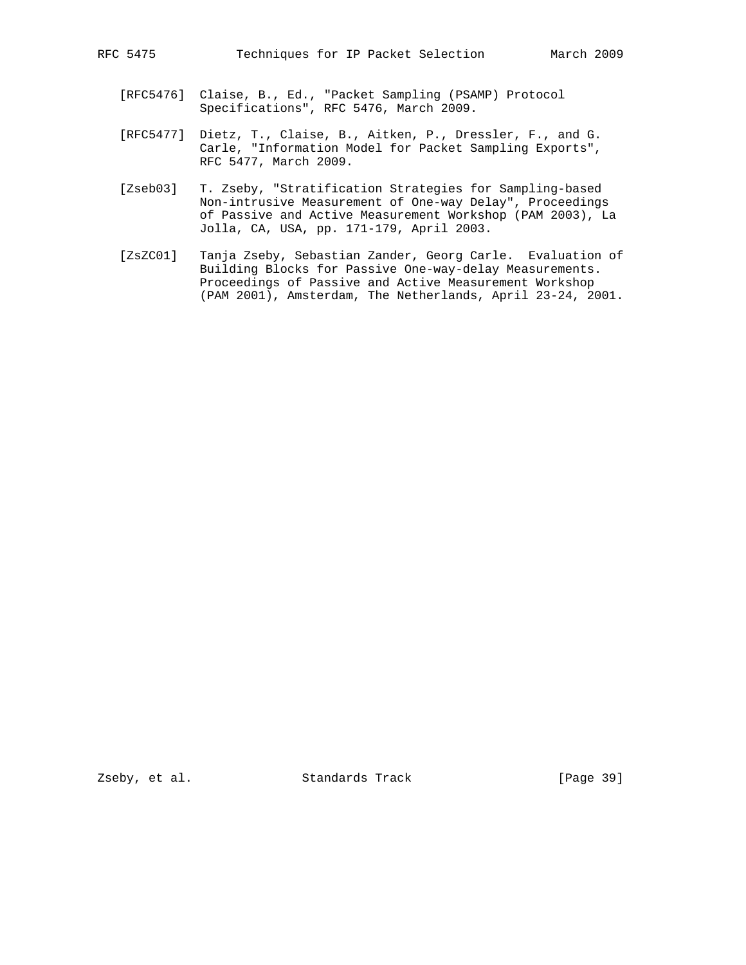- [RFC5476] Claise, B., Ed., "Packet Sampling (PSAMP) Protocol Specifications", RFC 5476, March 2009.
- [RFC5477] Dietz, T., Claise, B., Aitken, P., Dressler, F., and G. Carle, "Information Model for Packet Sampling Exports", RFC 5477, March 2009.
- [Zseb03] T. Zseby, "Stratification Strategies for Sampling-based Non-intrusive Measurement of One-way Delay", Proceedings of Passive and Active Measurement Workshop (PAM 2003), La Jolla, CA, USA, pp. 171-179, April 2003.
- [ZsZC01] Tanja Zseby, Sebastian Zander, Georg Carle. Evaluation of Building Blocks for Passive One-way-delay Measurements. Proceedings of Passive and Active Measurement Workshop (PAM 2001), Amsterdam, The Netherlands, April 23-24, 2001.

Zseby, et al. Standards Track [Page 39]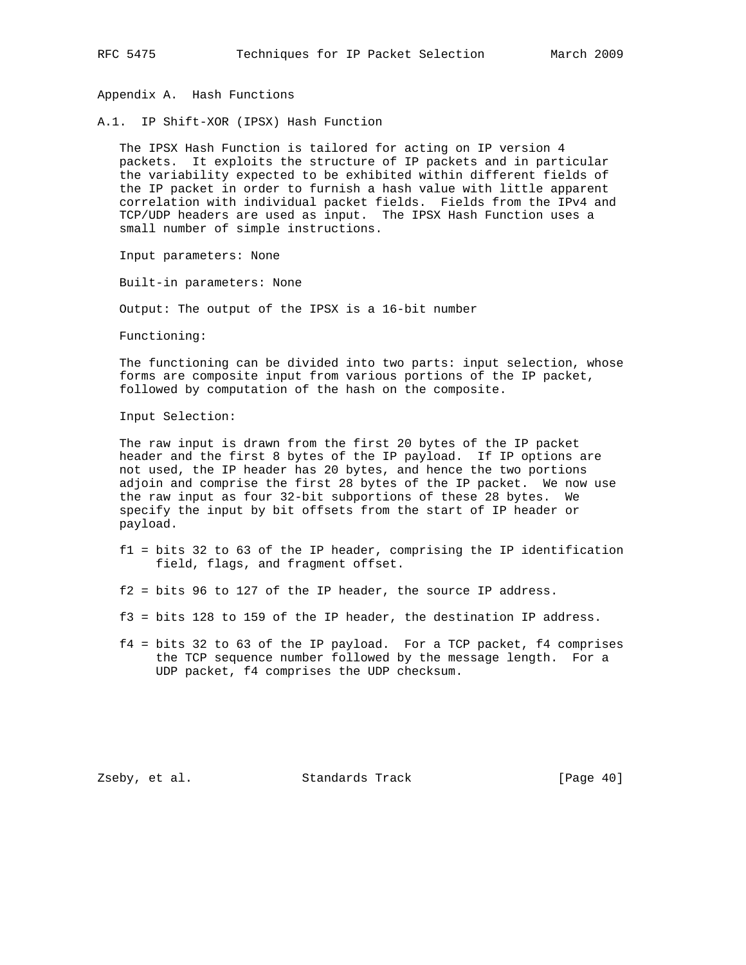Appendix A. Hash Functions

A.1. IP Shift-XOR (IPSX) Hash Function

 The IPSX Hash Function is tailored for acting on IP version 4 packets. It exploits the structure of IP packets and in particular the variability expected to be exhibited within different fields of the IP packet in order to furnish a hash value with little apparent correlation with individual packet fields. Fields from the IPv4 and TCP/UDP headers are used as input. The IPSX Hash Function uses a small number of simple instructions.

Input parameters: None

Built-in parameters: None

Output: The output of the IPSX is a 16-bit number

Functioning:

 The functioning can be divided into two parts: input selection, whose forms are composite input from various portions of the IP packet, followed by computation of the hash on the composite.

Input Selection:

 The raw input is drawn from the first 20 bytes of the IP packet header and the first 8 bytes of the IP payload. If IP options are not used, the IP header has 20 bytes, and hence the two portions adjoin and comprise the first 28 bytes of the IP packet. We now use the raw input as four 32-bit subportions of these 28 bytes. We specify the input by bit offsets from the start of IP header or payload.

- f1 = bits 32 to 63 of the IP header, comprising the IP identification field, flags, and fragment offset.
- f2 = bits 96 to 127 of the IP header, the source IP address.
- f3 = bits 128 to 159 of the IP header, the destination IP address.
- f4 = bits 32 to 63 of the IP payload. For a TCP packet, f4 comprises the TCP sequence number followed by the message length. For a UDP packet, f4 comprises the UDP checksum.

Zseby, et al. Standards Track [Page 40]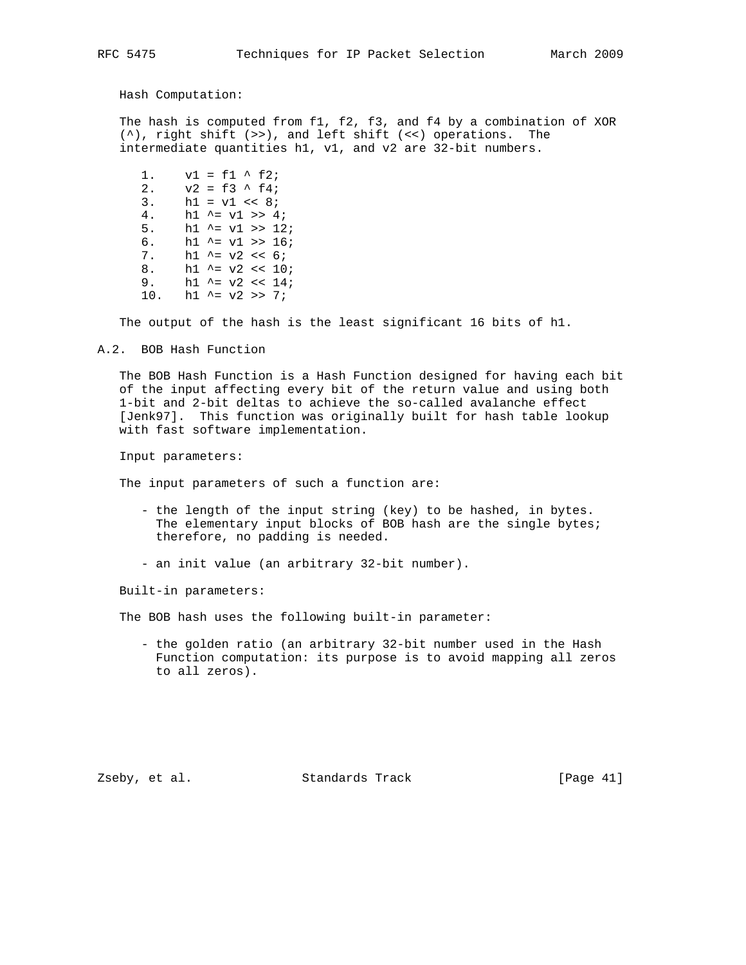Hash Computation:

 The hash is computed from f1, f2, f3, and f4 by a combination of XOR (^), right shift (>>), and left shift (<<) operations. The intermediate quantities h1, v1, and v2 are 32-bit numbers.

1.  $v1 = f1 \uparrow f2;$ 2.  $v2 = f3$  ^ f4; 3.  $h1 = v1 \leq 8;$ 4. h1  $\uparrow$  = v1 >> 4; 5.  $h1 \sim = v1 \gg 12$ ; 6. h1  $\text{^{\sim}}$  v1 >> 16; 7. h1  $^{\sim}$  = v2 << 6; 8. h1  $\sim$  v2 << 10; 9. h1  $\text{^{\sim}} = v2 \le 14$ ; 10. h1  $\sim$  v2 >> 7;

The output of the hash is the least significant 16 bits of h1.

A.2. BOB Hash Function

 The BOB Hash Function is a Hash Function designed for having each bit of the input affecting every bit of the return value and using both 1-bit and 2-bit deltas to achieve the so-called avalanche effect [Jenk97]. This function was originally built for hash table lookup with fast software implementation.

Input parameters:

The input parameters of such a function are:

- the length of the input string (key) to be hashed, in bytes. The elementary input blocks of BOB hash are the single bytes; therefore, no padding is needed.
- an init value (an arbitrary 32-bit number).

Built-in parameters:

The BOB hash uses the following built-in parameter:

 - the golden ratio (an arbitrary 32-bit number used in the Hash Function computation: its purpose is to avoid mapping all zeros to all zeros).

Zseby, et al. Standards Track [Page 41]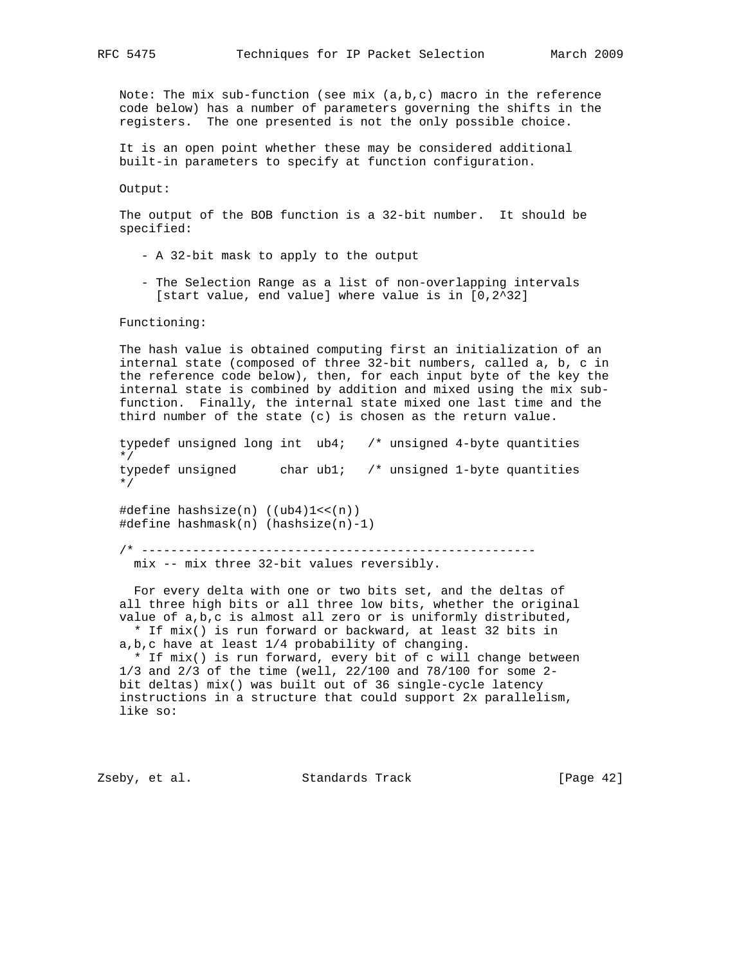Note: The mix sub-function (see mix  $(a,b,c)$  macro in the reference code below) has a number of parameters governing the shifts in the registers. The one presented is not the only possible choice.

 It is an open point whether these may be considered additional built-in parameters to specify at function configuration.

Output:

 The output of the BOB function is a 32-bit number. It should be specified:

- A 32-bit mask to apply to the output
- The Selection Range as a list of non-overlapping intervals [start value, end value] where value is in [0,2^32]

Functioning:

 The hash value is obtained computing first an initialization of an internal state (composed of three 32-bit numbers, called a, b, c in the reference code below), then, for each input byte of the key the internal state is combined by addition and mixed using the mix sub function. Finally, the internal state mixed one last time and the third number of the state (c) is chosen as the return value.

 typedef unsigned long int ub4; /\* unsigned 4-byte quantities \*/ typedef unsigned char ub1; /\* unsigned 1-byte quantities \*/ #define hashsize(n) ((ub4)1<<(n)) #define hashmask(n) (hashsize(n)-1)

 /\* ----------------------------------------------------- mix -- mix three 32-bit values reversibly.

 For every delta with one or two bits set, and the deltas of all three high bits or all three low bits, whether the original value of a,b,c is almost all zero or is uniformly distributed, \* If mix() is run forward or backward, at least 32 bits in

a,b,c have at least 1/4 probability of changing.

 \* If mix() is run forward, every bit of c will change between 1/3 and 2/3 of the time (well, 22/100 and 78/100 for some 2 bit deltas) mix() was built out of 36 single-cycle latency instructions in a structure that could support 2x parallelism, like so:

Zseby, et al. Standards Track [Page 42]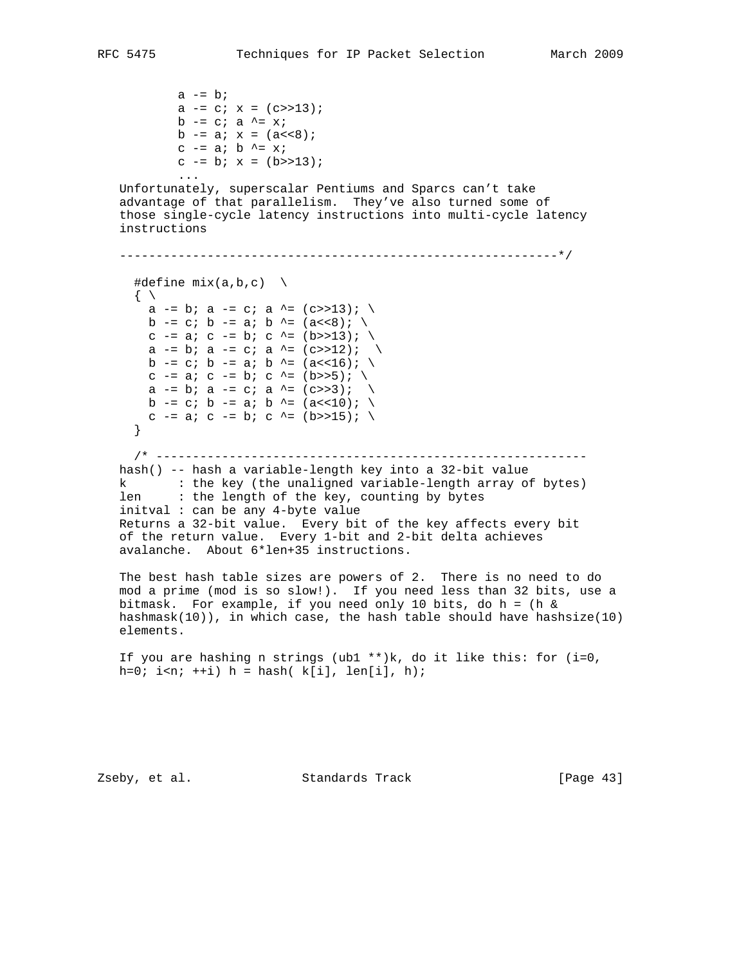```
a -= b;
          a - = c; x = (c>>13);
          b -= c; a \uparrow = x;
          b - = a; x = (a < 8);c - a; b \uparrow = x;
          c - b; x = (b \rightarrow 13); ...
   Unfortunately, superscalar Pentiums and Sparcs can't take
   advantage of that parallelism. They've also turned some of
   those single-cycle latency instructions into multi-cycle latency
   instructions
   ------------------------------------------------------------*/
    #define mix(a,b,c)\{ \ \ \seta -= b; a -= c; a ^= (c>>13); \
      b -= c; b -= a; b ^= (a<<8); \
      c -= a; c -= b; c ^= (b>>13); \
      a -= b; a -= c; a ^= (c>>12; \
      b -= c; b -= a; b ^= (a<<16); \
      c - = a; c - = b; c \uparrow = (b>>5); \
      a -= b; a -= c; a ^= (c \gg 3); \
      b -= c; b -= a; b ^= (a<<10); \
      c -= a; c -= b; c ^= (b>>15); \
      }
     /* -----------------------------------------------------------
   hash() -- hash a variable-length key into a 32-bit value
 k : the key (the unaligned variable-length array of bytes)
 len : the length of the key, counting by bytes
   initval : can be any 4-byte value
   Returns a 32-bit value. Every bit of the key affects every bit
   of the return value. Every 1-bit and 2-bit delta achieves
   avalanche. About 6*len+35 instructions.
   The best hash table sizes are powers of 2. There is no need to do
   mod a prime (mod is so slow!). If you need less than 32 bits, use a
   bitmask. For example, if you need only 10 bits, do h = (h &
   hashmask(10)), in which case, the hash table should have hashsize(10)
   elements.
  If you are hashing n strings (ubl **)k, do it like this: for (i=0,h=0; i <n; +i) h = hash( k[i], len[i], h);
```
Zseby, et al. Standards Track [Page 43]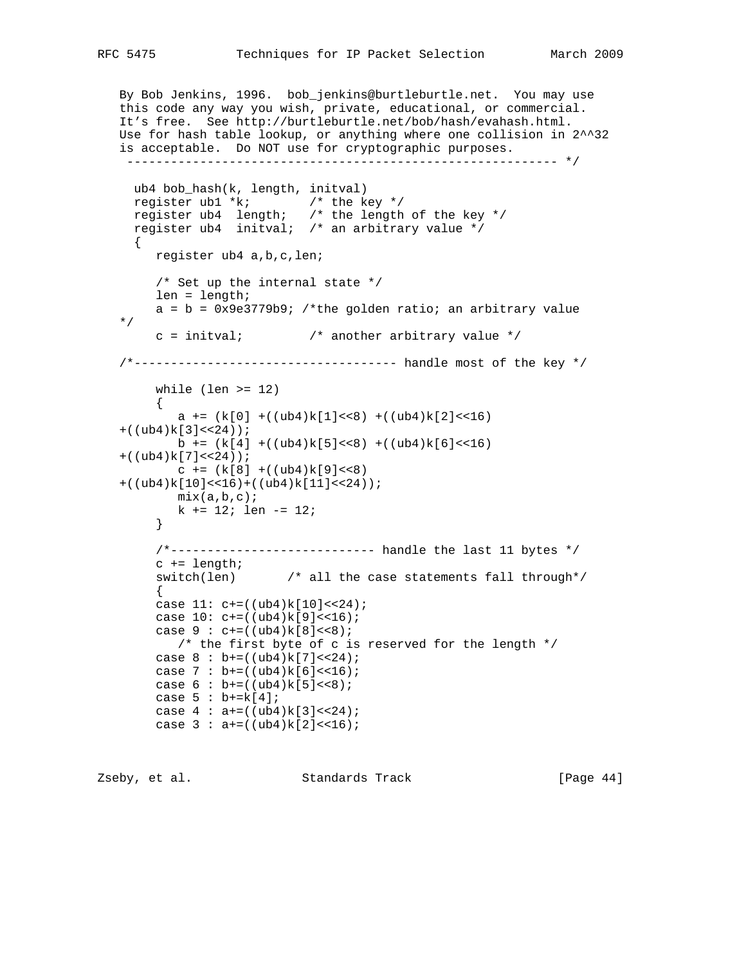```
 By Bob Jenkins, 1996. bob_jenkins@burtleburtle.net. You may use
   this code any way you wish, private, educational, or commercial.
   It's free. See http://burtleburtle.net/bob/hash/evahash.html.
   Use for hash table lookup, or anything where one collision in 2^^32
   is acceptable. Do NOT use for cryptographic purposes.
    ----------------------------------------------------------- */
     ub4 bob_hash(k, length, initval)
 register ub1 *k; /* the key */
 register ub4 length; /* the length of the key */
     register ub4 initval; /* an arbitrary value */
    \left\{ \right. register ub4 a,b,c,len;
         /* Set up the internal state */
        len = length;
       a = b = 0x9e3779b9; /*the golden ratio; an arbitrary value
   */
       c = initval; \qquad /* another arbitrary value */
   /*------------------------------------ handle most of the key */
       while (len >= 12)\{a += (k[0] + ((ub4)k[1] < 8) + ((ub4)k[2] < 16)+((ub4)k[3]<24);
          b += (k[4] + ((ub4)k[5] < 8) + ((ub4)k[6] < 16)+((ub4)k[7]<24);
          c += (k[8] + ((ub4)k[9]<8)+((ub4)k[10]<16)+((ub4)k[11]<24);
          mix(a,b,c); k += 12; len -= 12;
         }
         /*---------------------------- handle the last 11 bytes */
        c += length;
        switch(len) /* all the case statements fall through*/
\left\{ \begin{array}{c} \end{array} \right.case 11: c+=((ub4)k[10]<24;case 10: c+=((ub4)k[9]<16);case 9 : c += ((ub4)k[8] << 8);\frac{1}{\pi} the first byte of c is reserved for the length \frac{1}{\pi}case 8 : b+=((ub4)k[7]<24;case 7 : b+=((\text{ub4})k[6]\ll16);case 6 : b+=((ub4)k[5]<0; 8);case 5 : b+=k[4];case 4 : a+=((ub4)k[3]<24;case 3 : a+=((ub4)k[2]<16);
```
Zseby, et al. Standards Track [Page 44]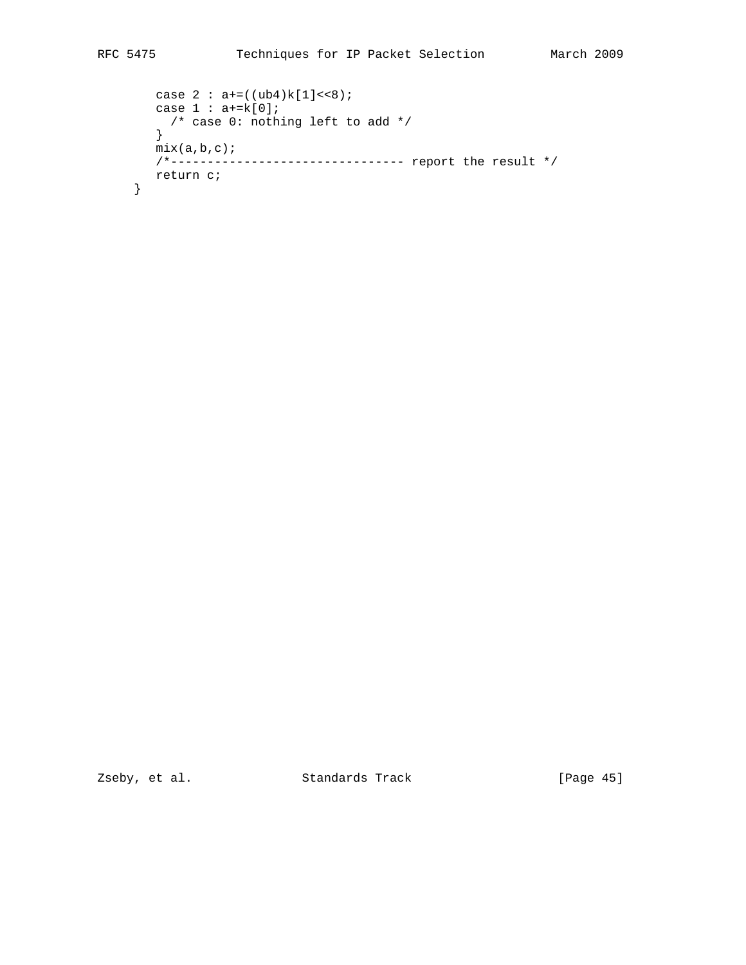```
case 2 : a+=((ub4)k[1]<0;
  case 1 : a+=k[0]; /* case 0: nothing left to add */
   }
  mix(a,b,c);
   /*-------------------------------- report the result */
   return c;
 }
```
Zseby, et al. Standards Track [Page 45]